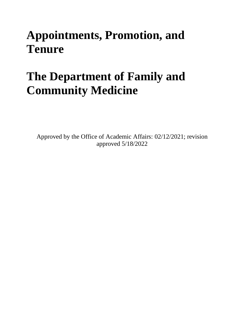# **Appointments, Promotion, and Tenure**

# **The Department of Family and Community Medicine**

Approved by the Office of Academic Affairs: 02/12/2021; revision approved 5/18/2022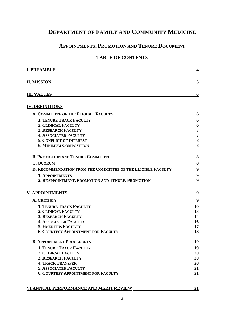# **DEPARTMENT OF FAMILY AND COMMUNITY MEDICINE**

# **APPOINTMENTS, PROMOTION AND TENURE DOCUMENT**

# **TABLE OF CONTENTS**

| <b>I. PREAMBLE</b>                                           | 4                |
|--------------------------------------------------------------|------------------|
| <b>II. MISSION</b>                                           | 5                |
| <b>III. VALUES</b>                                           | 6                |
| <b>IV. DEFINITIONS</b>                                       |                  |
| A. COMMITTEE OF THE ELIGIBLE FACULTY                         | 6                |
| <b>1. TENURE TRACK FACULTY</b>                               | 6                |
| <b>2. CLINICAL FACULTY</b>                                   | 6                |
| <b>3. RESEARCH FACULTY</b>                                   | 7                |
| <b>4. ASSOCIATED FACULTY</b>                                 | 7                |
| <b>5. CONFLICT OF INTEREST</b>                               | $\bf{8}$         |
| <b>6. MINIMUM COMPOSITION</b>                                | 8                |
| <b>B. PROMOTION AND TENURE COMMITTEE</b>                     | 8                |
| <b>C. QUORUM</b>                                             | 8                |
| D. RECOMMENDATION FROM THE COMMITTEE OF THE ELIGIBLE FACULTY | 9                |
| <b>1. APPOINTMENTS</b>                                       | 9                |
| 2. REAPPOINTMENT, PROMOTION AND TENURE, PROMOTION            | $\boldsymbol{9}$ |
| <b>V. APPOINTMENTS</b>                                       | 9                |
| <b>A. CRITERIA</b>                                           | 9                |
| <b>1. TENURE TRACK FACULTY</b>                               | 10               |
| <b>2. CLINICAL FACULTY</b>                                   | 13               |
| <b>3. RESEARCH FACULTY</b>                                   | 14               |
| <b>4. ASSOCIATED FACULTY</b>                                 | 16               |
| <b>5. EMERITUS FACULTY</b>                                   | 17               |
| <b>6. COURTESY APPOINTMENT FOR FACULTY</b>                   | 18               |
| <b>B. APPOINTMENT PROCEDURES</b>                             | 19               |
| <b>1. TENURE TRACK FACULTY</b>                               | 19               |
| <b>2. CLINICAL FACULTY</b>                                   | 20               |
| <b>3. RESEARCH FACULTY</b>                                   | 20               |
| <b>4. TRACK TRANSFER</b>                                     | 20               |
| <b>5. ASSOCIATED FACULTY</b>                                 | 21               |
| <b>6. COURTESY APPOINTMENT FOR FACULTY</b>                   | 21               |

| <b>VI.ANNUAL PERFORMANCE AND MERIT REVIEW</b> |  |
|-----------------------------------------------|--|
|                                               |  |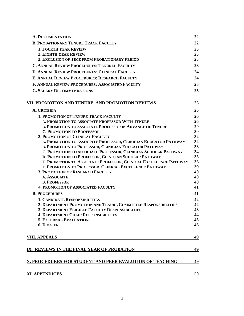| <b>A. DOCUMENTATION</b>                                                                                                    | <u>22</u> |
|----------------------------------------------------------------------------------------------------------------------------|-----------|
| <b>B. PROBATIONARY TENURE TRACK FACULTY</b>                                                                                | 22        |
| <b>1. FOURTH YEAR REVIEW</b>                                                                                               | 23        |
| <b>2. EIGHTH YEAR REVIEW</b>                                                                                               | 23        |
| <b>3. EXCLUSION OF TIME FROM PROBATIONARY PERIOD</b>                                                                       | 23        |
| <b>C. ANNUAL REVIEW PROCEDURES: TENURED FACULTY</b>                                                                        | 23        |
| <b>D. ANNUAL REVIEW PROCEDURES: CLINICAL FACULTY</b>                                                                       | 24        |
| <b>E. ANNUAL REVIEW PROCEDURES: RESEARCH FACULTY</b>                                                                       | 24        |
| <b>F. ANNUAL REVIEW PROCEDURES: ASSOCIATED FACULTY</b>                                                                     | 25        |
| <b>G. SALARY RECOMMENDATIONS</b>                                                                                           | 25        |
| VII. PROMOTION AND TENURE, AND PROMOTION REVIEWS                                                                           | 25        |
| A. CRITERIA                                                                                                                | 25        |
| <b>1. PROMOTION OF TENURE TRACK FACULTY</b>                                                                                | 26        |
| A. PROMOTION TO ASSOCIATE PROFESSOR WITH TENURE                                                                            | 26        |
| <b>B. PROMOTION TO ASSOCIATE PROFESSOR IN ADVANCE OF TENURE</b>                                                            | 29        |
| <b>C. PROMOTION TO PROFESSOR</b>                                                                                           | 30        |
| 2. PROMOTION OF CLINICAL FACULTY                                                                                           | 32        |
| A. PROMOTION TO ASSOCIATE PROFESSOR, CLINICIAN EDUCATOR PATHWAY                                                            | 32        |
| <b>B. PROMOTION TO PROFESSOR, CLINICIAN EDUCATOR PATHWAY</b>                                                               | 33        |
| C. PROMOTION TO ASSOCIATE PROFESSOR, CLINICIAN SCHOLAR PATHWAY                                                             | 34        |
| D. PROMOTION TO PROFESSOR, CLINICIAN SCHOLAR PATHWAY                                                                       | 35<br>36  |
| E. PROMOTION TO ASSOCIATE PROFESSOR, CLINICAL EXCELLENCE PATHWAY<br>F. PROMOTION TO PROFESSOR, CLINICAL EXCELLENCE PATHWAY | 39        |
| <b>3. PROMOTION OF RESEARCH FACULTY</b>                                                                                    | 40        |
| A. ASSOCIATE                                                                                                               | 40        |
| <b>B. PROFESSOR</b>                                                                                                        | 40        |
| <b>4. PROMOTION OF ASSOCIATED FACULTY</b>                                                                                  | 41        |
| <b>B. PROCEDURES</b>                                                                                                       | 41        |
| <b>1. CANDIDATE RESPONSIBILITIES</b>                                                                                       | 42        |
| 2. DEPARTMENT PROMOTION AND TENURE COMMITTEE RESPONSIBILITIES                                                              | 42        |
| <b>3. DEPARTMENT ELIGIBLE FACULTY RESPONSIBILITIES</b>                                                                     | 43        |
| <b>4. DEPARTMENT CHAIR RESPONSIBILITIES</b>                                                                                | 44        |
| <b>5. EXTERNAL EVALUATIONS</b>                                                                                             | 45        |
| <b>6. DOSSIER</b>                                                                                                          | 46        |
| <b>VIII. APPEALS</b>                                                                                                       | 49        |
| IX. REVIEWS IN THE FINAL YEAR OF PROBATION                                                                                 | 49        |
| X. PROCEDURES FOR STUDENT AND PEER EVALUTION OF TEACHING                                                                   | 49        |
| <b>XI. APPENDICES</b>                                                                                                      | 50        |
|                                                                                                                            |           |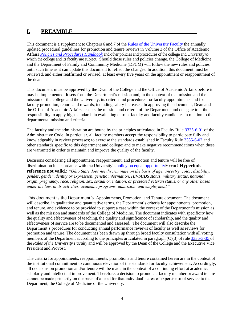# **I. PREAMBLE**

This document is a supplement to Chapters 6 and 7 of the [Rules of the University Faculty](https://trustees.osu.edu/bylaws-and-rules/university-faculty-rules) the annually updated procedural guidelines for promotion and tenure reviews in Volume 3 of the Office of Academic Affairs *[Policies and Procedures Handbook](https://oaa.osu.edu/policies-and-procedures-handbook)* and other policies and procedures of the college and University to which the college and its faculty are subject. Should those rules and policies change, the College of Medicine and the Department of Family and Community Medicine (DFCM) will follow the new rules and policies until such time as it can update this document to reflect the changes. In addition, this document must be reviewed, and either reaffirmed or revised, at least every five years on the appointment or reappointment of the dean.

This document must be approved by the Dean of the College and the Office of Academic Affairs before it may be implemented. It sets forth the Department's mission and, in the context of that mission and the mission of the college and the University, its criteria and procedures for faculty appointments and for faculty promotion, tenure and rewards, including salary increases. In approving this document, Dean and the Office of Academic Affairs accepts the mission and criteria of the Department and delegate to it the responsibility to apply high standards in evaluating current faculty and faculty candidates in relation to the departmental mission and criteria.

The faculty and the administration are bound by the principles articulated in Faculty Rule [3335-6-01](https://trustees.osu.edu/rules/university-rules/chapter-3335-6-rules-of-the-university-faculty-concerning-faculty-appointments-reappointments-promotion-and-tenure.html) of the Administrative Code. In particular, all faculty members accept the responsibility to participate fully and knowledgeably in review processes; to exercise the standards established in Faculty Rul[e 3335-6-02](https://trustees.osu.edu/rules/university-rules/chapter-3335-6-rules-of-the-university-faculty-concerning-faculty-appointments-reappointments-promotion-and-tenure.html) and other standards specific to this department and college; and to make negative recommendations when these are warranted in order to maintain and improve the quality of the faculty.

Decisions considering all appointment, reappointment, and promotion and tenure will be free of discrimination in accordance with the University's [policy on equal opportunity](https://hr.osu.edu/public/documents/policy/policy110.pdf)**Error! Hyperlink reference not valid.**: *"Ohio State does not discriminate on the basis of age, ancestry, color, disability, gender, gender identity or expression, genetic information, HIV/AIDS status, military status, national origin, pregnancy, race, religion, sex, sexual orientation, or protected veteran status, or any other bases under the law, in its activities, academic programs, admission, and employment."*

This document is the Department's Appointments, Promotion, and Tenure document. The document will describe, in qualitative and quantitative terms, the Department's criteria for appointments, promotion, and tenure, and evidence to be provided to support a case within the context of the Department's mission as well as the mission and standards of the College of Medicine. The document indicates with specificity how the quality and effectiveness of teaching, the quality and significance of scholarship, and the quality and effectiveness of service are to be documented and assessed. The document will also describe the Department's procedures for conducting annual performance reviews of faculty as well as reviews for promotion and tenure. The document has been drawn up through broad faculty consultation with all voting members of the Department according to the principles articulated in paragraph (C)(3) of rule [3335-3-35](https://trustees.osu.edu/bylaws-and-rules/3335-3) of the *Rules of the University Faculty* and will be approved by the Dean of the College and the Executive Vice President and Provost.

The criteria for appointments, reappointments, promotions and tenure contained herein are in the context of the institutional commitment to continuous elevation of the standards for faculty achievement. Accordingly, all decisions on promotion and/or tenure will be made in the context of a continuing effort at academic, scholarly and intellectual improvement. Therefore, a decision to promote a faculty member or award tenure cannot be made primarily on the basis of a need for that individual's area of expertise or of service to the Department, the College of Medicine or the University.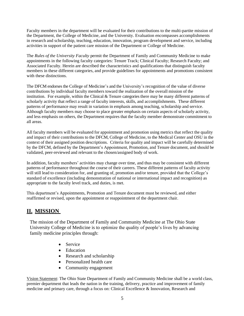Faculty members in the department will be evaluated for their contributions to the multi-partite mission of the Department, the College of Medicine, and the University. Evaluation encompasses accomplishments in research and scholarship, teaching, education, innovation, program development and service, including activities in support of the patient care mission of the Department or College of Medicine.

The *Rules of the University Faculty* permit the Department of Family and Community Medicine to make appointments in the following faculty categories: Tenure Track; Clinical Faculty; Research Faculty; and Associated Faculty. Herein are described the characteristics and qualifications that distinguish faculty members in these different categories, and provide guidelines for appointments and promotions consistent with these distinctions.

The DFCM endorses the College of Medicine's and the University's recognition of the value of diverse contributions by individual faculty members toward the realization of the overall mission of the institution. For example, within the Clinical & Tenure categories there may be many different patterns of scholarly activity that reflect a range of faculty interests, skills, and accomplishments. These different patterns of performance may result in variation in emphasis among teaching, scholarship and service. Although faculty members may choose to place greater emphasis on certain aspects of scholarly activity, and less emphasis on others, the Department requires that the faculty member demonstrate commitment to all areas.

All faculty members will be evaluated for appointment and promotion using metrics that reflect the quality and impact of their contributions to the DFCM, College of Medicine, to the Medical Center and OSU in the context of their assigned position descriptions. Criteria for quality and impact will be carefully determined by the DFCM, defined by the Department's Appointment, Promotion, and Tenure document, and should be validated, peer-reviewed and relevant to the chosen/assigned body of work.

In addition, faculty members' activities may change over time, and thus may be consistent with different patterns of performance throughout the course of their careers. These different patterns of faculty activity will still lead to consideration for, and granting of, promotion and/or tenure, provided that the College's standard of excellence (including demonstration of national or international impact and recognition) as appropriate to the faculty level track, and duties, is met.

This department's Appointments, Promotion and Tenure document must be reviewed, and either reaffirmed or revised, upon the appointment or reappointment of the department chair.

# **II. MISSION**

The mission of the Department of Family and Community Medicine at The Ohio State University College of Medicine is to optimize the quality of people's lives by advancing family medicine principles through:

- Service
- Education
- Research and scholarship
- Personalized health care
- Community engagement

Vision Statement: The Ohio State Department of Family and Community Medicine shall be a world class, premier department that leads the nation in the training, delivery, practice and improvement of family medicine and primary care, through a focus on: Clinical Excellence & Innovation, Research and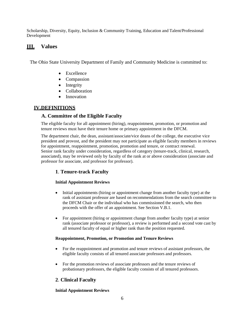Scholarship, Diversity, Equity, Inclusion & Community Training, Education and Talent/Professional Development

# **III. Values**

The Ohio State University Department of Family and Community Medicine is committed to:

- Excellence
- Compassion
- Integrity
- Collaboration
- Innovation

## **IV.DEFINITIONS**

## **A. Committee of the Eligible Faculty**

The eligible faculty for all appointment (hiring), reappointment, promotion, or promotion and tenure reviews must have their tenure home or primary appointment in the DFCM.

The department chair, the dean, assistant/associate/vice deans of the college, the executive vice president and provost, and the president may not participate as eligible faculty members in reviews for appointment, reappointment, promotion, promotion and tenure, or contract renewal. Senior rank faculty under consideration, regardless of category (tenure-track, clinical, research, associated), may be reviewed only by faculty of the rank at or above consideration (associate and professor for associate, and professor for professor).

# **1**. **Tenure-track Faculty**

## **Initial Appointment Reviews**

- Initial appointments (hiring or appointment change from another faculty type) at the rank of assistant professor are based on recommendations from the search committee to the DFCM Chair or the individual who has commissioned the search, who then proceeds with the offer of an appointment. See Section V.B.1.
- For appointment (hiring or appointment change from another faculty type) at senior rank (associate professor or professor), a review is performed and a second vote cast by all tenured faculty of equal or higher rank than the position requested.

## **Reappointment, Promotion, or Promotion and Tenure Reviews**

- For the reappointment and promotion and tenure reviews of assistant professors, the eligible faculty consists of all tenured associate professors and professors.
- For the promotion reviews of associate professors and the tenure reviews of probationary professors, the eligible faculty consists of all tenured professors.

# **2**. **Clinical Faculty**

## **Initial Appointment Reviews**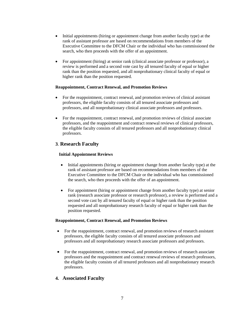- Initial appointments (hiring or appointment change from another faculty type) at the rank of assistant professor are based on recommendations from members of the Executive Committee to the DFCM Chair or the individual who has commissioned the search, who then proceeds with the offer of an appointment.
- For appointment (hiring) at senior rank (clinical associate professor or professor), a review is performed and a second vote cast by all tenured faculty of equal or higher rank than the position requested, and all nonprobationary clinical faculty of equal or higher rank than the position requested.

#### **Reappointment, Contract Renewal, and Promotion Reviews**

- For the reappointment, contract renewal, and promotion reviews of clinical assistant professors, the eligible faculty consists of all tenured associate professors and professors, and all nonprobationary clinical associate professors and professors.
- For the reappointment, contract renewal, and promotion reviews of clinical associate professors, and the reappointment and contract renewal reviews of clinical professors, the eligible faculty consists of all tenured professors and all nonprobationary clinical professors.

## **3**. **Research Faculty**

## **Initial Appointment Reviews**

- Initial appointments (hiring or appointment change from another faculty type) at the rank of assistant professor are based on recommendations from members of the Executive Committee to the DFCM Chair or the individual who has commissioned the search, who then proceeds with the offer of an appointment.
- For appointment (hiring or appointment change from another faculty type) at senior rank (research associate professor or research professor), a review is performed and a second vote cast by all tenured faculty of equal or higher rank than the position requested and all nonprobationary research faculty of equal or higher rank than the position requested.

#### **Reappointment, Contract Renewal, and Promotion Reviews**

- For the reappointment, contract renewal, and promotion reviews of research assistant professors, the eligible faculty consists of all tenured associate professors and professors and all nonprobationary research associate professors and professors.
- For the reappointment, contract renewal, and promotion reviews of research associate professors and the reappointment and contract renewal reviews of research professors, the eligible faculty consists of all tenured professors and all nonprobationary research professors.

## **4. Associated Faculty**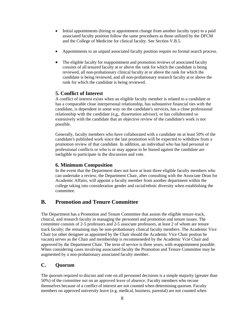- Initial appointments (hiring or appointment change from another faculty type) to a paid associated faculty position follow the same procedures as those utilized by the DFCM and the College of Medicine for clinical faculty. See Section V.B.5.
- Appointments to an unpaid associated faculty position require no formal search process.
- The eligible faculty for reappointment and promotion reviews of associated faculty consists of all tenured faculty at or above the rank for which the candidate is being reviewed, all non-probationary clinical faculty at or above the rank for which the candidate is being reviewed, and all non-probationary research faculty at or above the rank for which the candidate is being reviewed.

## **5. Conflict of Interest**

A conflict of interest exists when an eligible faculty member is related to a candidate or has a comparable close interpersonal relationship, has substantive financial ties with the candidate, is dependent in some way on the candidate's services, has a close professional relationship with the candidate (e,g,. dissertation advisor), or has collaborated so extensively with the candidate that an objective review of the candidate's work is not possible.

Generally, faculty members who have collaborated with a candidate on at least 50% of the candidate's published work since the last promotion will be expected to withdraw from a promotion review of that candidate. In addition, an individual who has had personal or professional conflicts or who is or may appear to be biased against the candidate are ineligible to participate in the discussion and vote.

## **6. Minimum Composition**

In the event that the Department does not have at least three eligible faculty members who can undertake a review, the Department Chair, after consulting with the Associate Dean for Academic Affairs, will appoint a faculty member from another department within the college taking into consideration gender and racial/ethnic diversity when establishing the committee.

# **B. Promotion and Tenure Committee**

The Department has a Promotion and Tenure Committee that assists the eligible tenure-track, clinical, and research faculty in managing the personnel and promotion and tenure issues. The committee consists of 2-5 professors and 2-5 associate professors, at least 2 of whom are tenure track faculty; the remaining may be non-probationary clinical faculty members. The Academic Vice Chair (or other designee as appointed by the Chair should the Academic Vice Chair postion be vacant) serves as the Chair and membership is recommeneded by the Academic Vcie Chair and approved by the Department Chair. The term of service is three years, with reappointment possible. When considering cases involving associated faculty the Promotion and Tenure Committee may be augmented by a non-probationary associated faculty member.

# **C. Quorum**

The quorum required to discuss and vote on all personnel decisions is a simple majority (greater than 50%) of the committee not on an approved leave of absence. Faculty members who recuse themselves because of a conflict of interest are not counted when determining quorum. Faculty members on approved university leave (e.g. medical, business, parental) are not counted when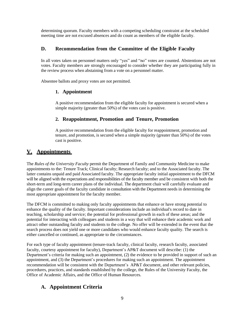determining quorum. Faculty members with a competing scheduling constraint at the scheduled meeting time are not excused absences and do count as members of the eligible faculty.

# **D. Recommendation from the Committee of the Eligible Faculty**

In all votes taken on personnel matters only "yes" and "no" votes are counted. Abstentions are not votes. Faculty members are strongly encouraged to consider whether they are participating fully in the review process when abstaining from a vote on a personnel matter.

Absentee ballots and proxy votes are not permitted.

# **1. Appointment**

A positive recommendation from the eligible faculty for appointment is secured when a simple majority (greater than 50%) of the votes cast is positive.

# **2. Reappointment, Promotion and Tenure, Promotion**

A positive recommendation from the eligible faculty for reappointment, promotion and tenure, and promotion, is secured when a simple majority (greater than 50%) of the votes cast is positive.

# **V. Appointments**

The *Rules of the University Faculty* permit the Department of Family and Community Medicine to make appointments to the: Tenure Track; Clinical faculty; Research faculty; and to the Associated faculty. The latter contains unpaid and paid Associated faculty. The appropriate faculty initial appointment to the DFCM will be aligned with the expectations and responsibilities of the faculty member and be consistent with both the short-term and long-term career plans of the individual. The department chair will carefully evaluate and align the career goals of the faculty candidate in consultation with the Department needs in determining the most appropriate appointment for the faculty member.

The DFCM is committed to making only faculty appointments that enhance or have strong potential to enhance the quality of the faculty. Important considerations include an individual's record to date in teaching, scholarship and service; the potential for professional growth in each of these areas; and the potential for interacting with colleagues and students in a way that will enhance their academic work and attract other outstanding faculty and students to the college. No offer will be extended in the event that the search process does not yield one or more candidates who would enhance faculty quality. The search is either cancelled or continued, as appropriate to the circumstances.

For each type of faculty appointment (tenure-track faculty, clinical faculty, research faculty, associated faculty, courtesy appointment for faculty), Department's AP&T document will describe: (1) the Department's criteria for making such an appointment, (2) the evidence to be provided in support of such an appointment, and (3) the Department's procedures for making such an appointment. The appointment recommendation will be consistent with the Department's AP&T document, and other relevant policies, procedures, practices, and standards established by the college, the Rules of the University Faculty, the Office of Academic Affairs, and the Office of Human Resources.

# **A. Appointment Criteria**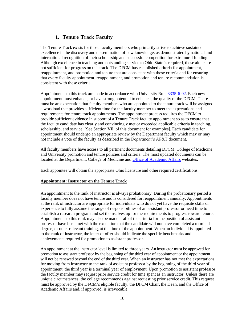## **1. Tenure Track Faculty**

The Tenure Track exists for those faculty members who primarily strive to achieve sustained excellence in the discovery and dissemination of new knowledge, as demonstrated by national and international recognition of their scholarship and successful competition for extramural funding. Although excellence in teaching and outstanding service to Ohio State is required, these alone are not sufficient for progress on this track. The DFCM has established criteria for appointment, reappointment, and promotion and tenure that are consistent with these criteria and for ensuring that every faculty appointment, reappointment, and promotion and tenure recommendation is consistent with these criteria.

Appointments to this track are made in accordance with University Rule [3335-6-02.](https://trustees.osu.edu/rules/university-rules/chapter-3335-6-rules-of-the-university-faculty-concerning-faculty-appointments-reappointments-promotion-and-tenure.html) Each new appointment must enhance, or have strong potential to enhance, the quality of the DFCM. There must be an expectation that faculty members who are appointed to the tenure track will be assigned a workload that provides sufficient time for the faculty member to meet the expectations and requirements for tenure track appointments. The appointment process requires the DFCM to provide sufficient evidence in support of a Tenure Track faculty appointment so as to ensure that the faculty candidate has clearly and convincingly met or exceeded applicable criteria in teaching, scholarship, and service. [See Section VII. of this document for examples]. Each candidate for appointment should undergo an appropriate review by the Department faculty which may or may not include a vote of the faculty as described in the Department's AP&T document.

All faculty members have access to all pertinent documents detailing DFCM, College of Medicine, and University promotion and tenure policies and criteria. The most updated documents can be located at the Department, College of Medicine and [Office of Academic Affairs](http://oaa.osu.edu/) websites.

Each appointee will obtain the appropriate Ohio licensure and other required certifications.

#### **Appointment: Instructor on the Tenure Track**

An appointment to the rank of instructor is always probationary. During the probationary period a faculty member does not have tenure and is considered for reappointment annually. Appointments at the rank of instructor are appropriate for individuals who do not yet have the requisite skills or experience to fully assume the range of responsibilities of an assistant professor or need time to establish a research program and set themselves up for the requirements to progress toward tenure. Appointments to this rank may also be made if all of the criteria for the position of assistant professor have been met with the exception that the candidate will not have completed a terminal degree, or other relevant training, at the time of the appointment. When an individual is appointed to the rank of instructor, the letter of offer should indicate the specific benchmarks and achievements required for promotion to assistant professor.

An appointment at the instructor level is limited to three years. An instructor must be approved for promotion to assistant professor by the beginning of the third year of appointment or the appointment will not be renewed beyond the end of the third year. When an instructor has not met the expectations for moving from instructor to the rank of assistant professor by the beginning of the third year of appointment, the third year is a terminal year of employment. Upon promotion to assistant professor, the faculty member may request prior service credit for time spent as an instructor. Unless there are unique circumstances, the college recommends against requesting prior service credit. This request must be approved by the DFCM's eligible faculty, the DFCM Chair, the Dean, and the Office of Academic Affairs and, if approved, is irrevocable.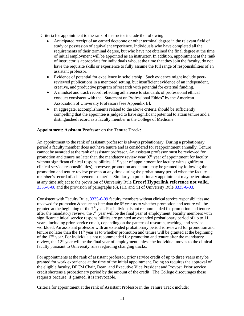Criteria for appointment to the rank of instructor include the following.

- Anticipated receipt of an earned doctorate or other terminal degree in the relevant field of study or possession of equivalent experience. Individuals who have completed all the requirements of their terminal degree, but who have not obtained the final degree at the time of initial employment will be appointed as an instructor. In addition, appointment at the rank of instructor is appropriate for individuals who, at the time that they join the faculty, do not have the requisite skills or experience to fully assume the full range of responsibilities of an assistant professor.
- Evidence of potential for excellence in scholarship. Such evidence might include peerreviewed publications in a mentored setting, but insufficient evidence of an independent, creative, and productive program of research with potential for external funding.
- A mindset and track record reflecting adherence to standards of professional ethical conduct consistent with the "Statement on Professional Ethics" by the American Association of University Professors [see Appendix B]**.**
- In aggregate, accomplishments related to the above criteria should be sufficiently compelling that the appointee is judged to have significant potential to attain tenure and a distinguished record as a faculty member in the College of Medicine.

#### **Appointment: Assistant Professor on the Tenure Track:**

An appointment to the rank of assistant professor is always probationary. During a probationary period a faculty member does not have tenure and is considered for reappointment annually. Tenure cannot be awarded at the rank of assistant professor. An assistant professor must be reviewed for promotion and tenure no later than the mandatory review year  $(6<sup>th</sup>$  year of appointment for faculty without significant clinical responsibilities,  $11<sup>th</sup>$  year of appointment for faculty with significant clinical service responsibilities); however, promotion and tenure may be granted by following the promotion and tenure review process at any time during the probationary period when the faculty member's record of achievement so merits. Similarly, a probationary appointment may be terminated at any time subject to the provision of University Rule **Error! Hyperlink reference not valid.** [3335-6-08](https://trustees.osu.edu/university-faculty-rules/3335-6) and the provision of paragraphs (6), (H), and (I) of University Rule [3335-6-03.](https://trustees.osu.edu/university-faculty-rules/3335-6)

Consistent with Faculty Rule, [3335-6-09](https://trustees.osu.edu/rules/university-rules/chapter-3335-6-rules-of-the-university-faculty-concerning-faculty-appointments-reappointments-promotion-and-tenure.html) faculty members without clinical service responsibilities are reviewed for promotion  $&$  tenure no later than the  $6<sup>th</sup>$  year as to whether promotion and tenure will be granted at the beginning of the  $7<sup>th</sup>$  year. For individuals not recommended for promotion and tenure after the mandatory review, the  $7<sup>th</sup>$  year will be the final year of employment. Faculty members with significant clinical service responsibilities are granted an extended probationary period of up to 11 years, including prior service credit, depending on the pattern of research, teaching, and service workload. An assistant professor with an extended probationary period is reviewed for promotion and tenure no later than the  $11<sup>th</sup>$  year as to whether promotion and tenure will be granted at the beginning of the  $12<sup>th</sup>$  year. For individuals not recommended for promotion and tenure after the mandatory review, the 12<sup>th</sup> year will be the final year of employment unless the individual moves to the clinical faculty pursuant to University rules regarding changing tracks.

For appointments at the rank of assistant professor, prior service credit of up to three years may be granted for work experience at the time of the initial appointment. Doing so requires the approval of the eligible faculty, DFCM Chair, Dean, and Executive Vice President and Provost. Prior service credit shortens a probationary period by the amount of the credit . The College discourages these requests because, if granted, it is irrevocable.

Criteria for appointment at the rank of Assistant Professor in the Tenure Track include: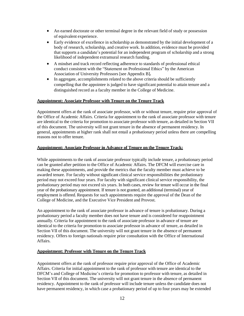- An earned doctorate or other terminal degree in the relevant field of study or possession of equivalent experience.
- Early evidence of excellence in scholarship as demonstrated by the initial development of a body of research, scholarship, and creative work. In addition, evidence must be provided that supports a candidate's potential for an independent program of scholarship and a strong likelihood of independent extramural research funding.
- A mindset and track record reflecting adherence to standards of professional ethical conduct consistent with the "Statement on Professional Ethics" by the American Association of University Professors [see Appendix B]**.**
- In aggregate, accomplishments related to the above criteria should be sufficiently compelling that the appointee is judged to have significant potential to attain tenure and a distinguished record as a faculty member in the College of Medicine.

#### **Appointment: Associate Professor with Tenure on the Tenure Track**

Appointment offers at the rank of associate professor, with or without tenure, require prior approval of the Office of Academic Affairs. Criteria for appointment to the rank of associate professor with tenure are identical to the criteria for promotion to associate professor with tenure, as detailed in Section VII of this document. The university will not grant tenure in the absence of permanent residency. In general, appointments at higher rank shall not entail a probationary period unless there are compelling reasons not to offer tenure.

#### **Appointment: Associate Professor in Advance of Tenure on the Tenure Track:**

While appointments to the rank of associate professor typically include tenure, a probationary period can be granted after petition to the Office of Academic Affairs. The DFCM will exercise care in making these appointments, and provide the metrics that the faculty member must achieve to be awarded tenure. For faculty without significant clinical service responsibilities the probationary period may not exceed four years. For faculty with significant clinical service responsibility, the probationary period may not exceed six years. In both cases, review for tenure will occur in the final year of the probationary appointment. If tenure is not granted, an additional (terminal) year of employment is offered. Requests for such appointments require the approval of the Dean of the College of Medicine, and the Executive Vice President and Provost.

An appointment to the rank of associate professor in advance of tenure is probationary. During a probationary period a faculty member does not have tenure and is considered for reappointment annually. Criteria for appointment to the rank of associate professor in advance of tenure are identical to the criteria for promotion to associate professor in advance of tenure, as detailed in Section VII of this document. The university will not grant tenure in the absence of permanent residency. Offers to foreign nationals require prior consultation with the Office of International Affairs.

#### **Appointment: Professor with Tenure on the Tenure Track**

Appointment offers at the rank of professor require prior approval of the Office of Academic Affairs. Criteria for initial appointment to the rank of professor with tenure are identical to the DFCM's and College of Medicine's criteria for promotion to professor with tenure, as detailed in Section VII of this document. The university will not grant tenure in the absence of permanent residency. Appointment to the rank of professor will include tenure unless the candidate does not have permanent residency, in which case a probationary period of up to four years may be extended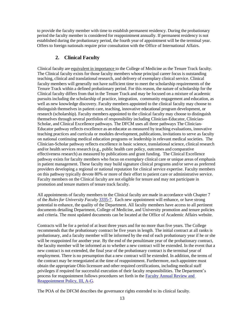to provide the faculty member with time to establish permanent residency. During the probationary period the faculty member is considered for reappointment annually. If permanent residency is not established during the probationary period, the fourth year of appointment will be the terminal year. Offers to foreign nationals require prior consultation with the Office of International Affairs.

# **2. Clinical Faculty**

Clinical faculty are equivalent in importance to the College of Medicine as the Tenure Track faculty. The Clinical faculty exists for those faculty members whose principal career focus is outstanding teaching, clinical and translational research, and delivery of exemplary clinical service. Clinical faculty members will generally not have sufficient time to meet the scholarship requirements of the Tenure Track within a defined probationary period. For this reason, the nature of scholarship for the Clinical faculty differs from that in the Tenure Track and may be focused on a mixture of academic pursuits including the scholarship of practice, integration, community engagement and education, as well as new knowledge discovery. Faculty members appointed to the clinical faculty may choose to distinguish themselves in patient care, teaching, innovative educational program development, or research (scholarship). Faculty members appointed to the clinical faculty may choose to distinguish themselves through several portfolios of responsibility including Clinician-Educator, Clinician-Scholar, and Clinical Excellence pathways. The DFCM uses all three pathways The Clinician-Educator pathway reflects excellence as an educator as measured by teaching evaluations, innovative teaching practices and curricula or modules development, publications, invitations to serve as faculty on national continuing medical education programs or leadership in relevant medical societies. The Clinician-Scholar pathway reflects excellence in basic science, translational science, clinical research and/or health services research (e.g., public health care policy, outcomes and comparative effectiveness research) as measured by publications and grant funding. The Clinical Excellence pathway exists for faculty members who focus on exemplary clinical care or unique areas of emphasis in patient management. These faculty may build signature clinical programs and/or serve as preferred providers developing a regional or national reputation for clinical service expertise. Faculty members on this pathway typically devote 80% or more of their effort to patient care or administrative service. Faculty members on the Clinical faculty are not eligible for tenure and may not participate in promotion and tenure matters of tenure track faculty.

All appointments of faculty members to the Clinical faculty are made in accordance with Chapter 7 of the *Rules for University Faculty* [3335-7.](https://trustees.osu.edu/university-faculty-rules/3335-7) Each new appointment will enhance, or have strong potential to enhance, the quality of the Department. All faculty members have access to all pertinent documents detailing Department, College of Medicine, and University promotion and tenure policies and criteria. The most updated documents can be located at the Office of Academic Affairs website.

Contracts will be for a period of at least three years and for no more than five years. The College recommends that the probationary contract be five years in length. The initial contract at all ranks is probationary, and a faculty member will be informed by the end of each probationary year if he or she will be reappointed for another year. By the end of the penultimate year of the probationary contract, the faculty member will be informed as to whether a new contract will be extended. In the event that a new contract is not extended, the final year of the probationary contract is the terminal year of employment. There is no presumption that a new contract will be extended. In addition, the terms of the contract may be renegotiated at the time of reappointment. Furthermore, each appointee must obtain the appropriate Ohio licensure and other required certifications, including medical staff privileges if required for successful execution of their faculty responsibilities. The Department's process for reappointment follows procedures set forth in the [Faculty Annual Review and](https://oaa.osu.edu/sites/default/files/uploads/policies/Faculty-Annual-Review-and-Reappointment.pdf)  [Reappointment Policy, III, A-G.](https://oaa.osu.edu/sites/default/files/uploads/policies/Faculty-Annual-Review-and-Reappointment.pdf)

The POA of the DFCM describes the governance rights extended to its clinical faculty.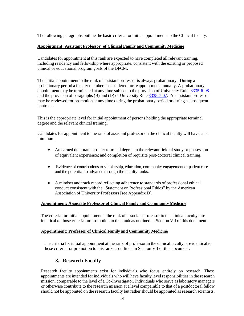The following paragraphs outline the basic criteria for initial appointments to the Clinical faculty.

#### **Appointment: Assistant Professor of Clinical Family and Community Medicine**

Candidates for appointment at this rank are expected to have completed all relevant training, including residency and fellowship where appropriate, consistent with the existing or proposed clinical or educational program goals of the DFCM.

The initial appointment to the rank of assistant professor is always probationary. During a probationary period a faculty member is considered for reappointment annually. A probationary appointment may be terminated at any time subject to the provision of University Rule [3335-6-08](https://trustees.osu.edu/university-faculty-rules/3335-6) and the provision of paragraphs (B) and (D) of University Rule [3335-7-07.](https://trustees.osu.edu/university-faculty-rules/3335-7) An assistant professor may be reviewed for promotion at any time during the probationary period or during a subsequent contract.

This is the appropriate level for initial appointment of persons holding the appropriate terminal degree and the relevant clinical training,

Candidates for appointment to the rank of assistant professor on the clinical faculty will have, at a minimum:

- An earned doctorate or other terminal degree in the relevant field of study or possession of equivalent experience; and completion of requisite post-doctoral clinical training.
- Evidence of contributions to scholarship, education, community engagement or patient care and the potential to advance through the faculty ranks.
- A mindset and track record reflecting adherence to standards of professional ethical conduct consistent with the "Statement on Professional Ethics" by the American Association of University Professors [see Appendix D]**.**

#### **Appointment: Associate Professor of Clinical Family and Community Medicine**

The criteria for initial appointment at the rank of associate professor to the clinical faculty, are identical to those criteria for promotion to this rank as outlined in Section VII of this document.

#### **Appointment: Professor of Clinical Family and Community Medicine**

The criteria for initial appointment at the rank of professor in the clinical faculty, are identical to those criteria for promotion to this rank as outlined in Section VII of this document.

## **3. Research Faculty**

Research faculty appointments exist for individuals who focus entirely on research. These appointments are intended for individuals who will have faculty level responsibilities in the research mission, comparable to the level of a Co-Investigator. Individuals who serve as laboratory managers or otherwise contribute to the research mission at a level comparable to that of a postdoctoral fellow should not be appointed on the research faculty but rather should be appointed as research scientists,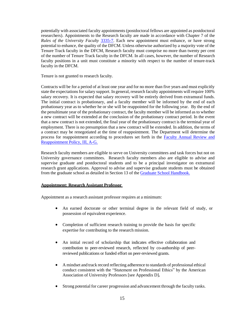potentially with associated faculty appointments (postdoctoral fellows are appointed as postdoctoral researchers). Appointments to the Research faculty are made in accordance with Chapter 7 of the *Rules of the University Faculty* [3335-7.](https://trustees.osu.edu/university-faculty-rules/3335-7) Each new appointment must enhance, or have strong potential to enhance, the quality of the DFCM. Unless otherwise authorized by a majority vote of the Tenure Track faculty in the DFCM, Research faculty must comprise no more than twenty per cent of the number of Tenure Track faculty in the DFCM. In all cases, however, the number of Research faculty positions in a unit must constitute a minority with respect to the number of tenure-track faculty in the DFCM.

Tenure is not granted to research faculty.

Contracts will be for a period of at least one year and for no more than five years and must explicitly state the expectations for salary support. In general, research faculty appointments will require 100% salary recovery. It is expected that salary recovery will be entirely derived from extramural funds. The initial contract is probationary, and a faculty member will be informed by the end of each probationary year as to whether he or she will be reappointed for the following year. By the end of the penultimate year of the probationary contract, the faculty member will be informed as to whether a new contract will be extended at the conclusion of the probationary contract period. In the event that a new contract is not extended, the final year of the probationary contract is the terminal year of employment. There is no presumption that a new contract will be extended. In addition, the terms of a contract may be renegotiated at the time of reappointment. The Department will determine the process for reappointment according to procedures set forth in the [Faculty Annual Review and](https://oaa.osu.edu/sites/default/files/uploads/policies/Faculty-Annual-Review-and-Reappointment.pdf)  [Reappointment Policy, III, A-G.](https://oaa.osu.edu/sites/default/files/uploads/policies/Faculty-Annual-Review-and-Reappointment.pdf)

Research faculty members are eligible to serve on University committees and task forces but not on University governance committees. Research faculty members also are eligible to advise and supervise graduate and postdoctoral students and to be a principal investigator on extramural research grant applications. Approval to advise and supervise graduate students must be obtained from the graduate school as detailed in Section 13 of the Graduate School [Handbook.](https://gradsch.osu.edu/handbook/all)

#### **Appointment: Research Assistant Professor**

Appointment as a research assistant professor requires at a minimum:

- An earned doctorate or other terminal degree in the relevant field of study, or possession of equivalent experience.
- Completion of sufficient research training to provide the basis for specific expertise for contributing to the research mission.
- An initial record of scholarship that indicates effective collaboration and contribution to peer-reviewed research, reflected by co-authorship of peerreviewed publications or funded effort on peer-reviewed grants.
- A mindset and track record reflecting adherence to standards of professional ethical conduct consistent with the "Statement on Professional Ethics" by the American Association of University Professors [see Appendix D]**.**
- Strong potential for career progression and advancement through the faculty ranks.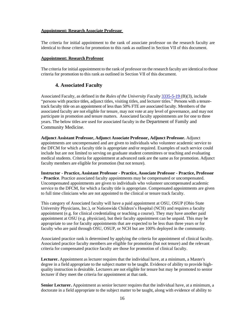#### **Appointment: Research Associate Professor**

The criteria for initial appointment to the rank of associate professor on the research faculty are identical to those criteria for promotion to this rank as outlined in Section VII of this document.

#### **Appointment: Research Professor**

The criteria for initial appointment to the rank of professor on the research faculty are identical to those criteria for promotion to this rank as outlined in Section VII of this document.

## **4. Associated Faculty**

Associated Faculty, as defined in the *Rules of the University Faculty* [3335-5-19](https://trustees.osu.edu/bylaws-and-rules/3335-5) (B)(3), include "persons with practice titles, adjunct titles, visiting titles, and lecturer titles." Persons with a tenuretrack faculty title on an appointment of less than 50% FTE are associated faculty. Members of the associated faculty are not eligible for tenure, may not vote at any level of governance, and may not participate in promotion and tenure matters. Associated faculty appointments are for one to three years. The below titles are used for associated faculty in the Department of Family and Community Medicine.

**Adjunct Assistant Professor, Adjunct Associate Professor, Adjunct Professor.** Adjunct appointments are uncompensated and are given to individuals who volunteer academic service to the DFCM for which a faculty title is appropriate and/or required. Examples of such service could include but are not limited to serving on graduate student committees or teaching and evaluating medical students. Criteria for appointment at advanced rank are the same as for promotion. Adjunct faculty members are eligible for promotion (but not tenure).

**Instructor - Practice, Assistant Professor - Practice, Associate Professor - Practice, Professor - Practice**. Practice associated faculty appointments may be compensated or uncompensated. Uncompensated appointments are given to individuals who volunteer uncompensated academic service to the DFCM, for which a faculty title is appropriate. Compensated appointments are given to full time clinicians who are not appointed to the clinical or tenure track faculty.

This category of Associated faculty will have a paid appointment at OSU, OSUP (Ohio State University Physicians, Inc.), or Nationwide Children's Hospital (NCH) and requires a faculty appointment (e.g. for clinical credentialing or teaching a course). They may have another paid appointment at OSU (e.g. physician), but their faculty appointment can be unpaid. This may be appropriate to use for faculty appointments that are expected to be less than three years or for faculty who are paid through OSU, OSUP, or NCH but are 100% deployed in the community.

Associated practice rank is determined by applying the criteria for appointment of clinical faculty. Associated practice faculty members are eligible for promotion (but not tenure) and the relevant criteria for compensated practice faculty are those for promotion of clinical faculty.

**Lecturer.** Appointment as lecturer requires that the individual have, at a minimum, a Master's degree in a field appropriate to the subject matter to be taught. Evidence of ability to provide highquality instruction is desirable. Lecturers are not eligible for tenure but may be promoted to senior lecturer if they meet the criteria for appointment at that rank.

**Senior Lecturer.** Appointment as senior lecturer requires that the individual have, at a minimum, a doctorate in a field appropriate to the subject matter to be taught, along with evidence of ability to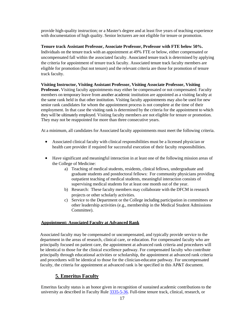provide high-quality instruction; or a Master's degree and at least five years of teaching experience with documentation of high quality. Senior lecturers are not eligible for tenure or promotion.

#### **Tenure track Assistant Professor, Associate Professor, Professor with FTE below 50%.**

Individuals on the tenure track with an appointment at 49% FTE or below, either compensated or uncompensated fall within the associated faculty. Associated tenure track is determined by applying the criteria for appointment of tenure track faculty. Associated tenure track faculty members are eligible for promotion (but not tenure) and the relevant criteria are those for promotion of tenure track faculty.

## **Visiting Instructor, Visiting Assistant Professor, Visiting Associate Professor, Visiting**

**Professor.** Visiting faculty appointments may either be compensated or not compensated. Faculty members on temporary leave from another academic institution are appointed as a visiting faculty at the same rank held in that other institution. Visiting faculty appointments may also be used for new senior rank candidates for whom the appointment process is not complete at the time of their employment. In that case the visiting rank is determined by the criteria for the appointment to which they will be ultimately employed. Visiting faculty members are not eligible for tenure or promotion. They may not be reappointed for more than three consecutive years.

At a minimum, all candidates for Associated faculty appointments must meet the following criteria.

- Associated clinical faculty with clinical responsibilities must be a licensed physician or health care provider if required for successful execution of their faculty responsibilities.
- Have significant and meaningful interaction in at least one of the following mission areas of the College of Medicine:
	- a) Teaching of medical students, residents, clinical fellows, undergraduate and graduate students and postdoctoral fellows: For community physicians providing outpatient teaching of medical students, meaningful interaction consists of supervising medical students for at least one month out of the year.
	- b) Research: These faculty members may collaborate with the DFCM in research projects or other scholarly activities.
	- c) Service to the Department or the College including participation in committees or other leadership activities (e.g., membership in the Medical Student Admissions Committee).

#### **Appointment: Associated Faculty at Advanced Rank**

Associated faculty may be compensated or uncompensated, and typically provide service to the department in the areas of research, clinical care, or education. For compensated faculty who are principally focused on patient care, the appointment at advanced rank criteria and procedures will be identical to those for the clinical excellence pathway. For compensated faculty who contribute principally through educational activities or scholarship, the appointment at advanced rank criteria and procedures will be identical to those for the clinician-educator pathway. For uncompensated faculty, the criteria for appointment at advanced rank is be specified in this AP&T document.

# **5. Emeritus Faculty**

Emeritus faculty status is an honor given in recognition of sustained academic contributions to the university as described in Faculty Rule [3335-5-36.](https://trustees.osu.edu/university-faculty-rules/3335-5) Full-time tenure track, clinical, research, or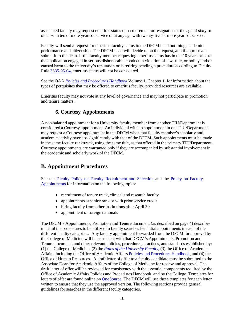associated faculty may request emeritus status upon retirement or resignation at the age of sixty or older with ten or more years of service or at any age with twenty-five or more years of service.

Faculty will send a request for emeritus faculty status to the DFCM head outlining academic performance and citizenship. The DFCM head will decide upon the request, and if appropriate submit it to the dean. If the faculty member requesting emeritus status has in the 10 years prior to the application engaged in serious dishonorable conduct in violation of law, rule, or policy and/or caused harm to the university's reputation or is retiring pending a procedure according to Faculty Rule [3335-05-04,](https://trustees.osu.edu/university-faculty-rules/3335-5) emeritus status will not be considered.

See the OAA *[Policies and Procedures Handbook](https://oaa.osu.edu/policies-and-procedures-handbook)* Volume 1, Chapter 1, for information about the types of perquisites that may be offered to emeritus faculty, provided resources are available.

Emeritus faculty may not vote at any level of governance and may not participate in promotion and tenure matters.

## **6. Courtesy Appointments**

A non-salaried appointment for a University faculty member from another TIU/Department is considered a Courtesy appointment. An individual with an appointment in one TIU/Department may request a Courtesy appointment in the DFCM when that faculty member's scholarly and academic activity overlaps significantly with that of the DFCM. Such appointments must be made in the same faculty rank/track, using the same title, as that offered in the primary TIU/Department. Courtesy appointments are warranted only if they are accompanied by substantial involvement in the academic and scholarly work of the DFCM.

# **B. Appointment Procedures**

See the Faculty Policy on Faculty [Recruitment](https://oaa.osu.edu/sites/default/files/links_files/facultyrecruitment.pdf) and Selection and the Policy on [Faculty](https://oaa.osu.edu/sites/default/files/links_files/facultyappointments.pdf) Appointments for information on the following topics:

- recruitment of tenure track, clinical and research faculty
- appointments at senior rank or with prior service credit
- hiring faculty from other institutions after April 30
- appointment of foreign nationals

The DFCM's Appointments, Promotion and Tenure document (as described on page 4) describes in detail the procedures to be utilized in faculty searches for initial appointments in each of the different faculty categories. Any faculty appointment forwarded from the DFCM for approval by the College of Medicine will be consistent with that DFCM's Appointments, Promotion and Tenure document, and other relevant policies, procedures, practices, and standards established by: (1) the College of Medicine, (2) the *Rules of the [University](https://trustees.osu.edu/bylaws-and-rules/university-faculty-rules) Faculty*, (3) the Office of Academic Affairs, including the Office of Academic Affairs Policies and [Procedures](https://oaa.osu.edu/policies-and-procedures-handbook) Handbook*,* and (4) the Office of Human Resources. A draft letter of offer to a faculty candidate must be submitted to the Associate Dean for Academic Affairs of the College of Medicine for review and approval. The draft letter of offer will be reviewed for consistency with the essential components required by the Office of Academic Affairs Policies and Procedures Handbook*,* and by the College. Templates for letters of offer are found online on [OneSource.](https://onesource.osumc.edu/sites/forms/Pages/COM%20Faculty%20Affairs%20Forms.aspx) The DFCM will use these templates for each letter written to ensure that they use the approved version. The following sections provide general guidelines for searches in the different faculty categories.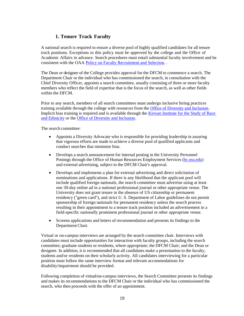# **1. Tenure Track Faculty**

A national search is required to ensure a diverse pool of highly qualified candidates for all tenure track positions. Exceptions to this policy must be approved by the college and the Office of Academic Affairs in advance. Search procedures must entail substantial faculty involvement and be consistent with the OAA [Policy on Faculty Recruitment and Selection.](http://oaa.osu.edu/sites/default/files/links_files/facultyrecruitment.pdf) .

The Dean or designee of the College provides approval for the DFCM to commence a search. The Department Chair or the individual who has commissioned the search, in consultation with the Chief Diversity Officer, appoints a search committee, usually consisting of three or more faculty members who reflect the field of expertise that is the focus of the search, as well as other fields within the DFCM.

Prior to any search, members of all search committees must undergo inclusive hiring practices training available through the college with resources from the [Office of Diversity and Inclusion.](https://odi.osu.edu/) Implicit bias training is required and is available through the [Kirwan Institute for the Study of Race](http://kirwaninstitute.osu.edu/)  [and Ethnicity](http://kirwaninstitute.osu.edu/) or the [Office of Diversity and Inclusion.](https://odi.osu.edu/)

The search committee:

- Appoints a Diversity Advocate who is responsible for providing leadership in assuring that vigorous efforts are made to achieve a diverse pool of qualified applicants and conduct searches that minimize bias.
- Develops a search announcement for internal posting in the University Personnel Postings through the Office of Human Resources Employment Services (hr.osu.edu) and external advertising, subject to the DFCM Chair's approval.
- Develops and implements a plan for external advertising and direct solicitation of nominations and applications. If there is any likelihood that the applicant pool will include qualified foreign nationals, the search committee must advertise using at least one 30-day online ad in a national professional journal or other appropriate venue. The University does not grant tenure in the absence of US citizenship or permanent residency ("green card"), and strict U. S. Department of Labor guidelines do not permit sponsorship of foreign nationals for permanent residency unless the search process resulting in their appointment to a tenure track position included an advertisement in a field-specific nationally prominent professional journal or other appropriate venue.
- Screens applications and letters of recommendation and presents its findings to the Department Chair.

Virtual or on-campus interviews are arranged by the search committee chair. Interviews with candidates must include opportunities for interaction with faculty groups, including the search committee; graduate students or residents, where appropriate; the DFCM Chair; and the Dean or designee. In addition, it is recommended that all candidates make a presentation to the faculty, students and/or residents on their scholarly activity. All candidates interviewing for a particular position must follow the same interview format and relevant accommodations for disability/impairment should be provided.

Following completion of virtual/on-campus interviews, the Search Committee presents its findings and makes its recommendations to the DFCM Chair or the individual who has commissioned the search, who then proceeds with the offer of an appointment.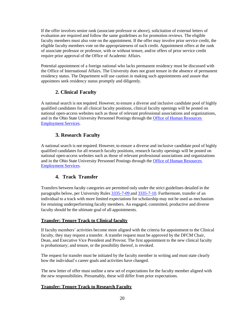If the offer involves senior rank (associate professor or above), solicitation of external letters of evaluation are required and follow the same guidelines as for promotion reviews. The eligible faculty members must also vote on the appointment. If the offer may involve prior service credit, the eligible faculty members vote on the appropriateness of such credit. Appointment offers at the rank of associate professor or professor, with or without tenure, and/or offers of prior service credit require prior approval of the Office of Academic Affairs.

Potential appointment of a foreign national who lacks permanent residency must be discussed with the Office of International Affairs. The University does not grant tenure in the absence of permanent residency status. The Department will use caution in making such appointments and assure that appointees seek residency status promptly and diligently.

# **2. Clinical Faculty**

A national search is not required. However, to ensure a diverse and inclusive candidate pool of highly qualified candidates for all clinical faculty positions, clinical faculty openings will be posted on national open-access websites such as those of relevant professional associations and organizations, and in the Ohio State University Personnel Postings through the Office of Human [Resources](http://www.hr.osu.edu/) [Employment](http://www.hr.osu.edu/) Services.

# **3. Research Faculty**

A national search is not required. However, to ensure a diverse and inclusive candidate pool of highly qualified candidates for all research faculty positions, research faculty openings will be posted on national open-access websites such as those of relevant professional associations and organizations and in the Ohio State University Personnel Postings through the Office of Human [Resources](http://www.hr.osu.edu/) [Employment](http://www.hr.osu.edu/) Services.

# **4. Track Transfer**

Transfers between faculty categories are permitted only under the strict guidelines detailed in the paragraphs below, per University Rules [3335-7-09](https://trustees.osu.edu/university-faculty-rules/3335-7) and [3335-7-10.](https://trustees.osu.edu/university-faculty-rules/3335-7) Furthermore, transfer of an individual to a track with more limited expectations for scholarship may not be used as mechanism for retaining underperforming faculty members. An engaged, committed, productive and diverse faculty should be the ultimate goal of all appointments.

## **Transfer: Tenure Track to Clinical faculty**

If faculty members' activities become more aligned with the criteria for appointment to the Clinical faculty, they may request a transfer. A transfer request must be approved by the DFCM Chair, Dean, and Executive Vice President and Provost. The first appointment to the new clinical faculty is probationary; and tenure, or the possibility thereof, is revoked.

The request for transfer must be initiated by the faculty member in writing and must state clearly how the individual's career goals and activities have changed.

The new letter of offer must outline a new set of expectations for the faculty member aligned with the new responsibilities. Presumably, these will differ from prior expectations.

## **Transfer: Tenure Track to Research Faculty**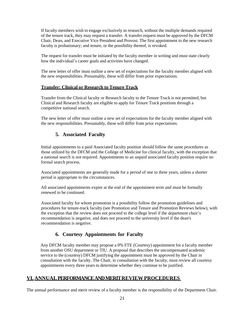If faculty members wish to engage exclusively in research, without the multiple demands required of the tenure track, they may request a transfer. A transfer request must be approved by the DFCM Chair, Dean, and Executive Vice President and Provost. The first appointment to the new research faculty is probationary; and tenure, or the possibility thereof, is revoked.

The request for transfer must be initiated by the faculty member in writing and must state clearly how the individual's career goals and activities have changed.

The new letter of offer must outline a new set of expectations for the faculty member aligned with the new responsibilities. Presumably, these will differ from prior expectations.

#### **Transfer: Clinical or Research to Tenure Track**

Transfer from the Clinical faculty or Research faculty to the Tenure Track is not permitted, but Clinical and Research faculty are eligible to apply for Tenure Track positions through a competitive national search.

The new letter of offer must outline a new set of expectations for the faculty member aligned with the new responsibilities. Presumably, these will differ from prior expectations.

## **5. Associated Faculty**

Initial appointments to a paid Associated faculty position should follow the same procedures as those utilized by the DFCM and the College of Medicine for clinical faculty, with the exception that a national search is not required. Appointments to an unpaid associated faculty position require no formal search process.

Associated appointments are generally made for a period of one to three years, unless a shorter period is appropriate to the circumstances.

All associated appointments expire at the end of the appointment term and must be formally renewed to be continued.

Associated faculty for whom promotion is a possibility follow the promotion guidelines and procedures for tenure-track faculty (see Promotion and Tenure and Promotion Reviews below), with the exception that the review does not proceed to the college level if the department chair's recommendation is negative, and does not proceed to the university level if the dean's recommendation is negative.

## **6. Courtesy Appointments for Faculty**

Any DFCM faculty member may propose a 0% FTE (Courtesy) appointment for a faculty member from another OSU department or TIU. A proposal that describes the uncompensated academic service to the (courtesy) DFCM justifying the appointment must be approved by the Chair in consultation with the faculty. The Chair, in consultation with the faculty, must review all courtesy appointments every three years to determine whether they continue to be justified.

## **VI. ANNUALPERFORMANCE AND MERIT REVIEW PROCEDURES**

The annual performance and merit review of a faculty member is the responsibility of the Department Chair.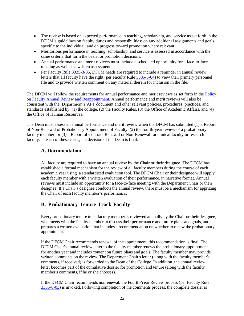- The review is based on expected performance in teaching, scholarship, and service as set forth in the DFCM's guidelines on faculty duties and responsibilities; on any additional assignments and goals specific to the individual; and on progress toward promotion where relevant.
- Meritorious performance in teaching, scholarship, and service is assessed in accordance with the same criteria that form the basis for promotion decisions.
- Annual performance and merit reviews must include a scheduled opportunity for a face-to-face meeting as well as a written assessment.
- Per Faculty Rule  $\frac{3335-3-35}{2}$ , DFCM heads are required to include a reminder in annual review letters that all faculty have the right (per Faculty Rule [3335-5-04\)](https://trustees.osu.edu/rules/university-rules/chapter-3335-5-faculty-governance-and-committees.html) to view their primary personnel file and to provide written comment on any material therein for inclusion in the file.

The DFCM will follow the requirements for annual performance and merit reviews as set forth in the Policy [on Faculty Annual Review](https://oaa.osu.edu/sites/default/files/uploads/policies/Faculty-Annual-Review-and-Reappointment.pdf) and Reappointment. Annual performance and merit reviews will also be consistent with the Department's APT document and other relevant policies, procedures, practices, and standards established by: (1) the college, (2) the Faculty Rules, (3) the Office of Academic Affairs, and (4) the Office of Human Resources.

The Dean must assess an annual performance and merit review when the DFCM has submitted (1) a Report of Non-Renewal of Probationary Appointment of Faculty; (2) the fourth-year review of a probationary faculty member; or (3) a Report of Contract Renewal or Non-Renewal for clinical faculty or research faculty. In each of these cases, the decision of the Dean is final.

## **A. Documentation**

All faculty are required to have an annual review by the Chair or their designee. The DFCM has established a formal mechanism for the review of all faculty members during the course of each academic year using a standardized evaluation tool. The DFCM Chair or their designee will supply each faculty member with a written evaluation of their performance, in narrative format. Annual reviews must include an opportunity for a face-to-face meeting with the Department Chair or their designee. If a Chair's designee conducts the annual review, there must be a mechanism for apprizing the Chair of each faculty member's performance.

# **B. Probationary Tenure Track Faculty**

Every probationary tenure track faculty member is reviewed annually by the Chair or their designee, who meets with the faculty member to discuss their performance and future plans and goals, and prepares a written evaluation that includes a recommendation on whether to renew the probationary appointment.

If the DFCM Chair recommends renewal of the appointment, this recommendation is final. The DFCM Chair's annual review letter to the faculty member renews the probationary appointment for another year and includes content on future plans and goals. The faculty member may provide written comments on the review. The Department Chair's letter (along with the faculty member's comments, if received) is forwarded to the Dean of the College. In addition, the annual review letter becomes part of the cumulative dossier for promotion and tenure (along with the faculty member's comments, if he or she chooses).

If the DFCM Chair recommends nonrenewal, the Fourth-Year Review process (per Faculty Rule [3335-6-03\)](https://trustees.osu.edu/university-faculty-rules/3335-6) is invoked. Following completion of the comments process, the complete dossier is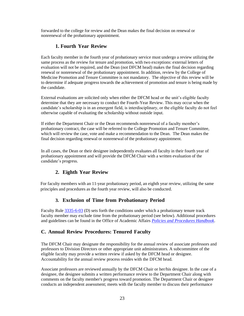forwarded to the college for review and the Dean makes the final decision on renewal or nonrenewal of the probationary appointment.

## **1. Fourth Year Review**

Each faculty member in the fourth year of probationary service must undergo a review utilizing the same process as the review for tenure and promotion, with two exceptions: external letters of evaluation will not be required, and the Dean (not DFCM head) makes the final decision regarding renewal or nonrenewal of the probationary appointment. In addition, review by the College of Medicine Promotion and Tenure Committee is not mandatory. The objective of this review will be to determine if adequate progress towards the achievement of promotion and tenure is being made by the candidate.

External evaluations are solicited only when either the DFCM head or the unit's eligible faculty determine that they are necessary to conduct the Fourth-Year Review. This may occur when the candidate's scholarship is in an emergent field, is interdisciplinary, or the eligible faculty do not feel otherwise capable of evaluating the scholarship without outside input.

If either the Department Chair or the Dean recommends nonrenewal of a faculty member's probationary contract, the case will be referred to the College Promotion and Tenure Committee, which will review the case, vote and make a recommendation to the Dean. The Dean makes the final decision regarding renewal or nonrenewal of the probationary appointment.

In all cases, the Dean or their designee independently evaluates all faculty in their fourth year of probationary appointment and will provide the DFCM Chair with a written evaluation of the candidate's progress.

# **2. Eighth Year Review**

For faculty members with an 11-year probationary period, an eighth year review, utilizing the same principles and procedures as the fourth year review, will also be conducted.

# **3. Exclusion of Time from Probationary Period**

Faculty Rule  $\frac{3335-6-03}{2}$  (D) sets forth the conditions under which a probationary tenure track faculty member may exclude time from the probationary period (see below). Additional procedures and guidelines can be found in the Office of Academic Affairs *[Policies and Procedures Handbook](https://oaa.osu.edu/policies-and-procedures-handbook)*.

## **C. Annual Review Procedures: Tenured Faculty**

The DFCM Chair may designate the responsibility for the annual review of associate professors and professors to Division Directors or other appropriate unit administrators. A subcommittee of the eligible faculty may provide a written review if asked by the DFCM head or designee. Accountability for the annual review process resides with the DFCM head.

Associate professors are reviewed annually by the DFCM Chair or her/his designee. In the case of a designee, the designee submits a written performance review to the Department Chair along with comments on the faculty member's progress toward promotion. The Department Chair or designee conducts an independent assessment; meets with the faculty member to discuss their performance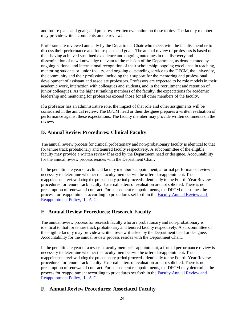and future plans and goals; and prepares a written evaluation on these topics. The faculty member may provide written comments on the review.

Professors are reviewed annually by the Department Chair who meets with the faculty member to discuss their performance and future plans and goals. The annual review of professors is based on their having achieved sustained excellence and ongoing outcomes in the discovery and dissemination of new knowledge relevant to the mission of the Department, as demonstrated by ongoing national and international recognition of their scholarship; ongoing excellence in teaching, mentoring students or junior faculty, and ongoing outstanding service to the DFCM, the university, the community and their profession, including their support for the mentoring and professional development of assistant and associate professors. Professors are expected to be role models in their academic work, interaction with colleagues and students, and in the recruitment and retention of junior colleagues. As the highest ranking members of the faculty, the expectations for academic leadership and mentoring for professors exceed those for all other members of the faculty.

If a professor has an administrative role, the impact of that role and other assignments will be considered in the annual review. The DFCM head or their designee prepares a written evaluation of performance against these expectations. The faculty member may provide written comments on the review.

## **D. Annual Review Procedures: Clinical Faculty**

The annual review process for clinical probationary and non-probationary faculty is identical to that for tenure track probationary and tenured faculty respectively. A subcommittee of the eligible faculty may provide a written review if asked by the Department head or designee. Accountability for the annual review process resides with the Department Chair.

In the penultimate year of a clinical faculty member's appointment, a formal performance review is necessary to determine whether the faculty member will be offered reappointment. The reappointment review during the probationary period proceeds identically to the Fourth-Year Review procedures for tenure track faculty. External letters of evaluation are not solicited. There is no presumption of renewal of contract. For subsequent reappointments, the DFCM determines the process for reappointment according to procedures set forth in the Faculty Annual Review and [Reappointment Policy, III, A-G.](https://oaa.osu.edu/sites/default/files/uploads/policies/Faculty-Annual-Review-and-Reappointment.pdf)

## **E. Annual Review Procedures: Research Faculty**

The annual review process for research faculty who are probationary and non-probationary is identical to that for tenure track probationary and tenured faculty respectively. A subcommittee of the eligible faculty may provide a written review if asked by the Department head or designee. Accountability for the annual review process resides with the Department Chair..

In the penultimate year of a research faculty member's appointment, a formal performance review is necessary to determine whether the faculty member will be offered reappointment. The reappointment review during the probationary period proceeds identically to the Fourth-Year Review procedures for tenure track faculty. External letters of evaluation are not solicited. There is no presumption of renewal of contract. For subsequent reappointments, the DFCM may determine the process for reappointment according to procedures set forth in the [Faculty Annual Review and](https://oaa.osu.edu/sites/default/files/uploads/policies/Faculty-Annual-Review-and-Reappointment.pdf)  [Reappointment Policy, III, A-G.](https://oaa.osu.edu/sites/default/files/uploads/policies/Faculty-Annual-Review-and-Reappointment.pdf)

## **F. Annual Review Procedures: Associated Faculty**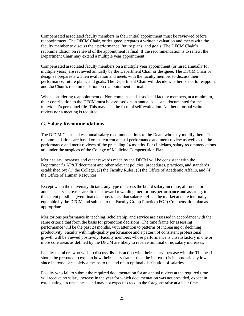Compensated associated faculty members in their initial appointment must be reviewed before reappointment. The DFCM Chair, or designee, prepares a written evaluation and meets with the faculty member to discuss their performance, future plans, and goals. The DFCM Chair's recommendation on renewal of the appointment is final. If the recommendation is to renew, the Department Chair may extend a multiple year appointment.

Compensated associated faculty members on a multiple year appointment (or hired annually for multiple years) are reviewed annually by the Department Chair or designee. The DFCM Chair or designee prepares a written evaluation and meets with the faculty member to discuss their performance, future plans, and goals. The Department Chair will decide whether or not to reappoint and the Chair's recommendation on reappointment is final.

When considering reappointment of Non-compensated associated faculty members, at a minimum, their contribution to the DFCM must be assessed on an annual basis and documented for the individual's personnel file. This may take the form of self-evaluation. Neither a formal written review nor a meeting is required.

## **G. Salary Recommendations**

The DFCM Chair makes annual salary recommendations to the Dean, who may modify them. The recommendations are based on the current annual performance and merit review as well as on the performance and merit reviews of the preceding 24 months. For clinicians, salary recommendations are under the auspices of the College of Medicine Compensation Plan.

Merit salary increases and other rewards made by the DFCM will be consistent with the Department's AP&T document and other relevant policies, procedures, practices, and standards established by: (1) the College, (2) the Faculty Rules, (3) the Office of Academic Affairs, and (4) the Office of Human Resources.

Except when the university dictates any type of across the board salary increase, all funds for annual salary increases are directed toward rewarding meritorious performance and assuring, to the extent possible given financial constraints, that salaries reflect the market and are internally equitable by the DFCM and subject to the Faculty Group Practice (FGP) Compensation plan as appropriate.

Meritorious performance in teaching, scholarship, and service are assessed in accordance with the same criteria that form the basis for promotion decisions. The time frame for assessing performance will be the past 24 months, with attention to patterns of increasing or declining productivity. Faculty with high-quality performance and a pattern of consistent professional growth will be viewed positively. Faculty members whose performance is unsatisfactory in one or more core areas as defined by the DFCM are likely to receive minimal or no salary increases.

Faculty members who wish to discuss dissatisfaction with their salary increase with the TIU head should be prepared to explain how their salary (rather than the increase) is inappropriately low, since increases are solely a means to the end of an optimal distribution of salaries.

Faculty who fail to submit the required documentation for an annual review at the required time will receive no salary increase in the year for which documentation was not provided, except in extenuating circumstances, and may not expect to recoup the foregone raise at a later time.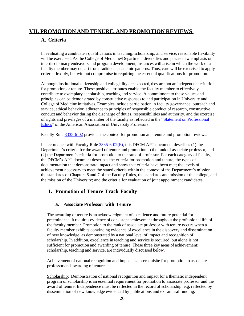# **VII. PROMOTION AND TENURE, AND PROMOTION REVIEWS**

## **A. Criteria**

In evaluating a candidate's qualifications in teaching, scholarship, and service, reasonable flexibility will be exercised. As the College of Medicine/Department diversifies and places new emphasis on interdisciplinary endeavors and program development, instances will arise in which the work of a faculty member may depart from traditional academic patterns. Thus, care will be exercised to apply criteria flexibly, but without compromise in requiring the essential qualifications for promotion.

Although institutional citizenship and collegiality are expected, they are not an independent criterion for promotion or tenure. These positive attributes enable the faculty member to effectively contribute to exemplary scholarship, teaching and service. A commitment to these values and principles can be demonstrated by constructive responses to and participation in University and College of Medicine initiatives. Examples include participation in faculty governance, outreach and service, ethical behavior, adherence to principles of responsible conduct of research, constructive conduct and behavior during the discharge of duties, responsibilities and authority, and the exercise of rights and privileges of a member of the faculty as reflected in the "Statement on [Professional](https://www.aaup.org/report/statement-professional-ethics) [Ethics"](https://www.aaup.org/report/statement-professional-ethics) of the American Association of University Professors.

Faculty Rule [3335-6-02](https://trustees.osu.edu/rules/university-rules/chapter-3335-6-rules-of-the-university-faculty-concerning-faculty-appointments-reappointments-promotion-and-tenure.html) provides the context for promotion and tenure and promotion reviews.

In accordance with Faculty Rule  $3335-6-02(E)$ , this DFCM APT document describes (1) the Department's criteria for the award of tenure and promotion to the rank of associate professor, and (2) the Department's criteria for promotion to the rank of professor. For each category of faculty, the DFCM's APT document describes the criteria for promotion and tenure, the types of documentation that demonstrate impact and show that criteria have been met; the levels of achievement necessary to meet the stated criteria within the context of the Department's mission, the standards of Chapters 6 and 7 of the Faculty Rules, the standards and mission of the college, and the mission of the University; and the criteria for evaluation of joint appointment candidates.

# **1. Promotion of Tenure Track Faculty**

## **a. Associate Professor with Tenure**

The awarding of tenure is an acknowledgment of excellence and future potential for preeminence. It requires evidence of consistent achievement throughout the professional life of the faculty member. Promotion to the rank of associate professor with tenure occurs when a faculty member exhibits convincing evidence of excellence in the discovery and dissemination of new knowledge, as demonstrated by a national level of impact and recognition of scholarship. In addition, excellence in teaching and service is required, but alone is not sufficient for promotion and awarding of tenure. These three key areas of achievement: scholarship, teaching and service, are individually discussed below.

Achievement of national recognition and impact is a prerequisite for promotion to associate professor and awarding of tenure.

Scholarship: Demonstration of national recognition and impact for a thematic independent program of scholarship is an essential requirement for promotion to associate professor and the award of tenure. Independence must be reflected in the record of scholarship, e.g. reflected by dissemination of new knowledge evidenced by publications and extramural funding.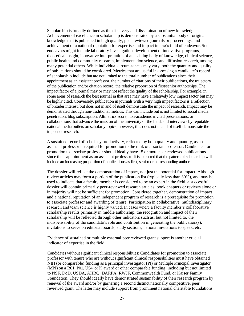Scholarship is broadly defined as the discovery and dissemination of new knowledge. Achievement of excellence in scholarship is demonstrated by a substantial body of original knowledge that is published in high quality, peer-reviewed journals or proceedings, and achievement of a national reputation for expertise and impact in one's field of endeavor. Such endeavors might include laboratory investigation, development of innovative programs, theoretical insight, innovative interpretation of an existing body of knowledge, clinical science, public health and community research, implementation science, and diffusion research, among many potential others. While individual circumstances may vary, both the quantity and quality of publications should be considered. Metrics that are useful in assessing a candidate's record of scholarship include but are not limited to the total number of publications since their appointment as an assistant professor, the number of citations of their publications, the trajectory of the publication and/or citation record, the relative proportion of first/senior authorships. The impact factor of a journal may or may not reflect the quality of the scholarship. For example, in some areas of research the best journal in that area may have a relatively low impact factor but may be highly cited. Conversely, publication in journals with a very high impact factors is a reflection of broader interest, but does not in and of itself demonstrate the impact of research. Impact may be demonstrated through non-traditional metrics. This can include but is not limited to social media penetration, blog subscription, Altmetrics score, non-academic invited presentations, or collaborations that advance the mission of the university or the field, and interviews by reputable national media outlets on scholarly topics, however, this does not in and of itself demonstrate the impact of research.

A sustained record of scholarly productivity, reflected by both quality and quantity, as an assistant professor is required for promotion to the rank of associate professor. Candidates for promotion to associate professor should ideally have 15 or more peer-reviewed publications since their appointment as an assistant professor. It is expected that the pattern of scholarship will include an increasing proportion of publications as first, senior or corresponding author.

The dossier will reflect the demonstration of impact, not just the potential for impact. Although review articles may form a portion of the publication list (typically less than 30%), and may be used to indicate that a faculty member is considered to be an expert in the field, a successful dossier will contain primarily peer-reviewed research articles; book chapters or reviews alone or in majority will not be sufficient for promotion. Considered together, demonstration of impact and a national reputation of an independent program of research is a prerequisite for promotion to associate professor and awarding of tenure. Participation in collaborative, multidisciplinary research and team science is highly valued. In cases where a faculty member's collaborative scholarship results primarily in middle authorship, the recognition and impact of their scholarship will be reflected through other indicators such as, but not limited to, the indispensability of the candidate's role and contribution in generating the publication(s), invitations to serve on editorial boards, study sections, national invitations to speak, etc.

Evidence of sustained or multiple external peer reviewed grant support is another crucial indicator of expertise in the field.

Candidates without significant clinical responsibilities: Candidates for promotion to associate professor with tenure who are without significant clinical responsibilities must have obtained NIH (or comparable) funding as a principal investigator (PI) or Multiple Principal Investigator (MPI) on a R01, P01, U54, or K award or other comparable funding, including but not limited to NSF, DoD, USDA, AHRQ, DARPA, RWJF, Commonwealth Fund, or Kaiser Family Foundation. They should ideally have demonstrated sustainability of their research program by renewal of the award and/or by garnering a second distinct nationally competitive, peer reviewed grant. The latter may include support from prominent national charitable foundations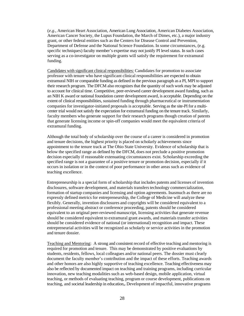(*e.g*., American Heart Association, American Lung Association, American Diabetes Association, American Cancer Society, the Lupus Foundation, the March of Dimes, etc.), a major industry grant, or other federal entities such as the Centers for Disease Control and Prevention, Department of Defense and the National Science Foundation. In some circumstances, (e.g. specific techniques) faculty member's expertise may not justify PI level status. In such cases serving as a co-investigator on multiple grants will satisfy the requirement for extramural funding.

Candidates with significant clinical responsibilities: Candidates for promotion to associate professor with tenure who have significant clinical responsibilities are expected to obtain extramural NIH or comparable funding as defined in the previous paragraph as a PI, MPI to support their research program. The DFCM also recognizes that the quantity of such work may be adjusted to account for clinical time. Competitive, peer-reviewed career development award funding, such as an NIH K award or national foundation career development award, is acceptable. Depending on the extent of clinical responsibilities, sustained funding through pharmaceutical or instrumentation companies for investigator-initiated proposals is acceptable. Serving as the site-PI for a multicenter trial would not satisfy the expectation for extramural funding on the tenure track. Similarly, faculty members who generate support for their research programs though creation of patents that generate licensing income or spin-off companies would meet the equivalent criteria of extramural funding.

Although the total body of scholarship over the course of a career is considered in promotion and tenure decisions, the highest priority is placed on scholarly achievements since appointment to the tenure track at The Ohio State University. Evidence of scholarship that is below the specified range as defined by the DFCM, does not preclude a positive promotion decision especially if reasonable extenuating circumstances exist. Scholarship exceeding the specified range is not a guarantee of a positive tenure or promotion decision, especially if it occurs in isolation or in the context of poor performance in other areas such as evidence of teaching excellence.

Entrepreneurship is a special form of scholarship that includes patents and licenses of invention disclosures, software development, and materials transfers technology commercialization, formation of startup companies and licensing and option agreements. Inasmuch as there are no expressly defined metrics for entrepreneurship, the College of Medicine will analyze these flexibly. Generally, invention disclosures and copyrights will be considered equivalent to a professional meeting abstract or conference proceeding, patents should be considered equivalent to an original peer-reviewed manuscript, licensing activities that generate revenue should be considered equivalent to extramural grant awards, and materials transfer activities should be considered evidence of national (or international) recognition and impact. These entrepreneurial activities will be recognized as scholarly or service activities in the promotion and tenure dossier.

Teaching and Mentoring: A strong and consistent record of effective teaching and mentoring is required for promotion and tenure. This may be demonstrated by positive evaluations by students, residents, fellows, local colleagues and/or national peers. The dossier must clearly document the faculty member's contribution and the impact of these efforts. Teaching awards and other honors are also highly supportive of teaching excellence. Teaching effectiveness may also be reflected by documented impact on teaching and training programs, including curricular innovation, new teaching modalities such as web-based design, mobile application, virtual teaching, or methods of evaluating teaching, program or course development, publications on teaching, and societal leadership in education,*.* Development of impactful, innovative programs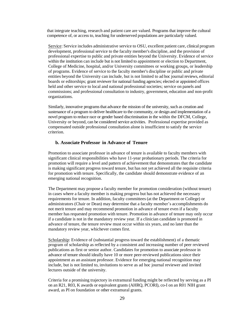that integrate teaching, research and patient care are valued. Programs that improve the cultural competence of, or access to, teaching for underserved populations are particularly valued.

Service: Service includes administrative service to OSU, excellent patient care, clinical program development, professional service to the faculty member's discipline, and the provision of professional expertise to public and private entities beyond the University. Evidence of service within the institution can include but is not limited to appointment or election to Department, College of Medicine, hospital, and/or University committees or working groups, or leadership of programs. Evidence of service to the faculty member's discipline or public and private entities beyond the University can include, but is not limited to ad hoc journal reviews, editorial boards or editorships; grant reviewer for national funding agencies; elected or appointed offices held and other service to local and national professional societies; service on panels and commissions; and professional consultation to industry, government, education and non-profit organizations.

Similarly, innovative programs that advance the mission of the university, such as creation and sustenance of a program to deliver healthcare to the community, or design and implementation of a novel program to reduce race or gender based discrimination in the within the DFCM, College, University or beyond, can be considered service activities. Professional expertise provided as compensated outside professional consultation alone is insufficient to satisfy the service criterion.

#### **b. Associate Professor in Advance of Tenure**

Promotion to associate professor in advance of tenure is available to faculty members with significant clinical responsibilities who have 11-year probationary periods. The criteria for promotion will require a level and pattern of achievement that demonstrates that the candidate is making significant progress toward tenure, but has not yet achieved all the requisite criteria for promotion with tenure. Specifically, the candidate should demonstrate evidence of an emerging national recognition.

The Department may propose a faculty member for promotion consideration (without tenure) in cases where a faculty member is making progress but has not achieved the necessary requirements for tenure. In addition, faculty committees (at the Department or College) or administrators (Chair or Dean) may determine that a faculty member's accomplishments do not merit tenure and may recommend promotion in advance of tenure even if a faculty member has requested promotion with tenure. Promotion in advance of tenure may only occur if a candidate is not in the mandatory review year. If a clinician candidate is promoted in advance of tenure, the tenure review must occur within six years, and no later than the mandatory review year, whichever comes first.

Scholarship: Evidence of (substantial progress toward the establishment) of a thematic program of scholarship as reflected by a consistent and increasing number of peer reviewed publications as first or senior author. Candidates for promotion to associate professor in advance of tenure should ideally have 10 or more peer-reviewed publications since their appointment as an assistant professor. Evidence for emerging national recognition may include, but is not limited to, invitations to serve as ad hoc journal reviewer and invited lectures outside of the university.

Criteria for a promising trajectory in extramural funding might be reflected by serving as a PI on an R21, R03, K awards or equivalent grants (AHRQ, PCORI), co-I on an R01 NIH grant award, as PI on foundation or other extramural grants.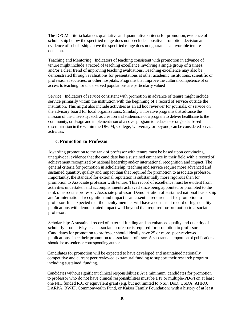The DFCM criteria balances qualitative and quantitative criteria for promotion; evidence of scholarship below the specified range does not preclude a positive promotion decision and evidence of scholarship above the specified range does not guarantee a favorable tenure decision.

Teaching and Mentoring: Indicators of teaching consistent with promotion in advance of tenure might include a record of teaching excellence involving a single group of trainees, and/or a clear trend of improving teaching evaluations. Teaching excellence may also be demonstrated through evaluations for presentations at other academic institutions, scientific or professional societies, or other hospitals. Programs that improve the cultural competence of or access to teaching for underserved populations are particularly valued

Service: Indicators of service consistent with promotion in advance of tenure might include service primarily within the institution with the beginning of a record of service outside the institution. This might also include activities as an ad hoc reviewer for journals, or service on the advisory board for local organizations. Similarly, innovative programs that advance the mission of the university, such as creation and sustenance of a program to deliver healthcare to the community, or design and implementation of a novel program to reduce race or gender based discrimination in the within the DFCM, College, University or beyond, can be considered service activities.

#### **c. Promotion to Professor**

Awarding promotion to the rank of professor with tenure must be based upon convincing, unequivocal evidence that the candidate has a sustained eminence in their field with a record of achievement recognized by national leadership and/or international recognition and impact. The general criteria for promotion in scholarship, teaching and service require more advanced and sustained quantity, quality and impact than that required for promotion to associate professor. Importantly, the standard for external reputation is substantially more rigorous than for promotion to Associate professor with tenure. This record of excellence must be evident from activities undertaken and accomplishments achieved since being appointed or promoted to the rank of associate professor. Associate professor. Demonstration of sustained national leadership and/or international recognition and impact is an essential requirement for promotion to professor. It is expected that the faculty member will have a consistent record of high-quality publications with demonstrated impact well beyond that required for promotion to associate professor.

Scholarship: A sustained record of external funding and an enhanced quality and quantity of scholarly productivity as an associate professor is required for promotion to professor. Candidates for promotion to professor should ideally have 25 or more peer-reviewed publications since their promotion to associate professor. A substantial proportion of publications should be as senior or corresponding author.

Candidates for promotion will be expected to have developed and maintained nationally competitive and current peer reviewed extramural funding to support their research program including sustained funding.

Candidates without significant clinical responsibilities: At a minimum, candidates for promotion to professor who do not have clinical responsibilities must be a PI or multiple-PD/PI on at least one NIH funded R01 or equivalent grant (e.g. but not limited to NSF, DoD, USDA, AHRQ, DARPA, RWJF, Commonwealth Fund, or Kaiser Family Foundation) with a history of at least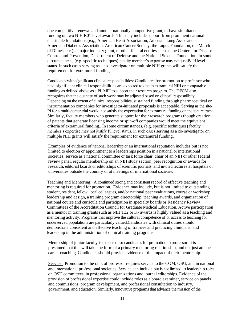one competitive renewal and another nationally competitive grant, or have simultaneous funding on two NIH R01 level awards. This may include support from prominent national charitable foundations (*e.g*., American Heart Association, American Lung Association, American Diabetes Association, American Cancer Society, the Lupus Foundation, the March of Dimes, etc.), a major industry grant, or other federal entities such as the Centers for Disease Control and Prevention, Department of Defense and the National Science Foundation. In some circumstances, (e.g. specific techniques) faculty member's expertise may not justify PI level status. In such cases serving as a co-investigator on multiple NIH grants will satisfy the requirement for extramural funding.

Candidates with significant clinical responsibilities: Candidates for promotion to professor who have significant clinical responsibilities are expected to obtain extramural NIH or comparable funding as defined above as a PI, MPI to support their research program. The DFCM also recognizes that the quantity of such work may be adjusted based on clincail resposnilbity. Depending on the extent of clinical responsibilities, sustained funding through pharmaceutical or instrumentation companies for investigator-initiated proposals is acceptable. Serving as the site-PI for a multi-center trial would not satisfy the expectation for extramural funding on the tenure track. Similarly, faculty members who generate support for their research programs though creation of patents that generate licensing income or spin-off companies would meet the equivalent criteria of extramural funding.. In some circumstances, (e.g. specific techniques) faculty member's expertise may not justify PI level status. In such cases serving as a co-investigator on multiple NIH grants will satisfy the requirement for extramural funding.

Examples of evidence of national leadership or an international reputation includes but is not limited to election or appointment to a leaderships position in a national or international societies, service as a national committee or task force chair, chair of an NIH or other federal review panel, regular membership on an NIH study section, peer recognition or awards for research, editorial boards or editorships of scientific journals, and invited lectures at hospitals or universities outside the country or at meetings of international societies.

Teaching and Mentoring: A continued strong and consistent record of effective teaching and mentoring is required for promotion. Evidence may include, but is not limited to outstanding student, resident, fellow, local colleagues, and/or national peer evaluations, course or workshop leadership and design, a training program directorship, teaching awards, and organization of national course and curricula and participation in specialty boards or Residency Review Committees of the Accreditation Council for Graduate Medical Education. Active participation as a mentor in training grants such as NIH T32 or K- awards is highly valued as a teaching and mentoring activity. Programs that improve the cultural competence of or access to teaching for underserved populations are particularly valued.Candidates with clinical duties should demonstrate consistent and effective teaching of trainees and practicing clinicians, and leadership in the administration of clinical training programs.

Mentorship of junior faculty is expected for candidates for promotion to professor. It is presumed that this will take the form of a primary mentoring relationship, and not just ad hoc career coaching. Candidates should provide evidence of the impact of their mentorship.

Service: Promotion to the rank of professor requires service to the COM, OSU, and in national and international professional societies. Service can include but is not limited to leadership roles on OSU committees, in professional organizations and journal editorships. Evidence of the provision of professional expertise could include roles as a board examiner, service on panels and commissions, program development, and professional consultation to industry, government, and education. Similarly, innovative programs that advance the mission of the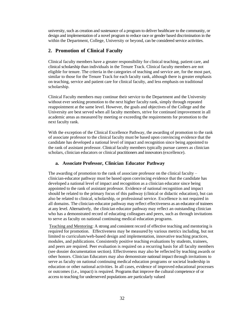university, such as creation and sustenance of a program to deliver healthcare to the community, or design and implementation of a novel program to reduce race or gender based discrimination in the within the Department, College, University or beyond, can be considered service activities.

## **2. Promotion of Clinical Faculty**

Clinical faculty members have a greater responsibility for clinical teaching, patient care, and clinical scholarship than individuals in the Tenure Track. Clinical faculty members are not eligible for tenure. The criteria in the categories of teaching and service are, for the most part, similar to those for the Tenure Track for each faculty rank, although there is greater emphasis on teaching, service and patient care for clinical faculty, and less emphasis on traditional scholarship.

Clinical Faculty members may continue their service to the Department and the University without ever seeking promotion to the next higher faculty rank, simply through repeated reappointment at the same level. However, the goals and objectives of the College and the University are best served when all faculty members, strive for continued improvement in all academic areas as measured by meeting or exceeding the requirements for promotion to the next faculty rank.

With the exception of the Clinical Excellence Pathway, the awarding of promotion to the rank of associate professor to the clinical faculty must be based upon convincing evidence that the candidate has developed a national level of impact and recognition since being appointed to the rank of assistant professor. Clinical faculty members typically pursue careers as clinician scholars, clinician educators or clinical practitioners and innovators (excellence).

## **a. Associate Professor, Clinician Educator Pathway**

The awarding of promotion to the rank of associate professor on the clinical faculty – clinician-educator pathway must be based upon convincing evidence that the candidate has developed a national level of impact and recognition as a clinician educator since being appointed to the rank of assistant professor. Evidence of national recognition and impact should be related to the primary focus of this pathway (clinical or didactic education), but can also be related to clinical, scholarship, or professional service. Excellence is not required in all domains. The clinician-educator pathway may reflect effectiveness as an educator of trainees at any level. Alternatively, the clinician educator pathway may reflect an outstanding clinician who has a demonstrated record of educating colleagues and peers, such as through invitations to serve as faculty on national continuing medical education programs.

Teaching and Mentoring: A strong and consistent record of effective teaching and mentoring is required for promotion. Effectiveness may be measured by various metrics including, but not limited to curriculum/web-based design and implementation, innovative teaching practices, modules, and publications. Consistently positive teaching evaluations by students, trainees, and peers are required. Peer evaluation is required on a recurring basis for all faculty members (see dossier documentation section). Effectiveness may also be reflected by teaching awards or other honors. Clinician Educators may also demonstrate national impact through invitations to serve as faculty on national continuing medical education programs or societal leadership in education or other national activities. In all cases, evidence of improved educational processes or outcomes (i.e., impact) is required. Programs that improve the cultural competence of or access to teaching for underserved populations are particularly valued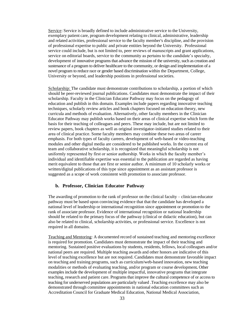Service: Service is broadly defined to include administrative service to the University, exemplary patient care, program development relating to clinical, administrative, leadership and related activities, professional service to the faculty member's discipline, and the provision of professional expertise to public and private entities beyond the University. Professional service could include, but is not limited to, peer reviews of manuscripts and grant applications, service on editorial boards, service to the community as pertains to the candidate's specialty, development of innovative programs that advance the mission of the university, such as creation and sustenance of a program to deliver healthcare to the community, or design and implementation of a novel program to reduce race or gender based discrimination within the Department, College, University or beyond, and leadership positions in professional societies.

Scholarship: The candidate must demonstrate contributions to scholarship, a portion of which should be peer-reviewed journal publications. Candidates must demonstrate the impact of their scholarship. Faculty in the Clinician Educator Pathway may focus on the pedagogy of education and publish in this domain. Examples include papers regarding innovative teaching techniques, scholarly review articles and book chapters focused on education theory, new curricula and methods of evaluation. Alternatively, other faculty members in the Clinician Educator Pathway may publish works based on their areas of clinical expertise which form the basis for their teaching of colleagues and peers. These may include, but are not limited to review papers, book chapters as well as original investigator-initiated studies related to their area of clinical practice. Some faculty members may combine these two areas of career emphasis. For both types of faculty careers, development of web-based or video-teaching modules and other digital media are considered to be published works. In the current era of team and collaborative scholarship, it is recognized that meaningful scholarship is not uniformly represented by first or senior authorship. Works in which the faculty member's individual and identifiable expertise was essential to the publication are regarded as having merit equivalent to those that are first or senior author. A minimum of 10 scholarly works or written/digital publications of this type since appointment as an assistant professor is suggested as a scope of work consistent with promotion to associate professor.

## **b. Professor, Clinician Educator Pathway**

The awarding of promotion to the rank of professor on the clinical faculty – clinician-educator pathway must be based upon convincing evidence that that the candidate has developed a national level of leadership or international recognition since appointment or promotion to the rank of associate professor. Evidence of international recognition or national leadership should be related to the primary focus of the pathway (clinical or didactic education), but can also be related to clinical, scholarship activities, or professional service. Excellence is not required in all domains.

Teaching and Mentoring: A documented record of sustained teaching and mentoring excellence is required for promotion. Candidates must demonstrate the impact of their teaching and mentoring. Sustained positive evaluations by students, residents, fellows, local colleagues and/or national peers are required. Multiple teaching awards and other honors are indicative of this level of teaching excellence but are not required. Candidates must demonstrate favorable impact on teaching and training programs, such as curriculum/web-based innovation, new teaching modalities or methods of evaluating teaching, and/or program or course development*.* Other examples include the development of multiple impactful, innovative programs that integrate teaching, research and patient care. Programs that improve the cultural competence of or access to teaching for underserved populations are particularly valued .Teaching excellence may also be demonstrated through committee appointments in national education committees such as Accreditation Council for Graduate Medical Education, National Medical Association,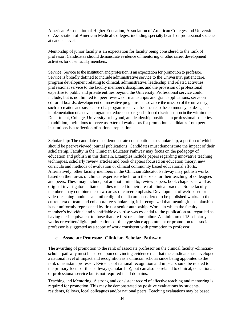American Association of Higher Education, Association of American Colleges and Universities or Association of American Medical Colleges, including specialty boards or professional societies at national level.

Mentorship of junior faculty is an expectation for faculty being considered to the rank of professor. Candidates should demonstrate evidence of mentoring or other career development activities for other faculty members.

Service: Service to the institution and profession is an expectation for promotion to professor. Service is broadly defined to include administrative service to the University, patient care, program development relating to clinical, administrative, leadership and related activities, professional service to the faculty member's discipline, and the provision of professional expertise to public and private entities beyond the University. Professional service could include, but is not limited to, peer reviews of manuscripts and grant applications, serve on editorial boards, development of innovative programs that advance the mission of the university, such as creation and sustenance of a program to deliver healthcare to the community, or design and implementation of a novel program to reduce race or gender based discrimination in the within the Department, College, University or beyond, and leadership positions in professional societies. In addition, invitations to serve as external evaluators for promotion candidates from peer institutions is a reflection of national reputation.

Scholarship: The candidate must demonstrate contributions to scholarship, a portion of which should be peer-reviewed journal publications. Candidates must demonstrate the impact of their scholarship. Faculty in the Clinician Educator Pathway may focus on the pedagogy of education and publish in this domain. Examples include papers regarding innovative teaching techniques, scholarly review articles and book chapters focused on education theory, new curricula and methods of evaluation or clinical community based educational efforts. Alternatively, other faculty members in the Clinician Educator Pathway may publish works based on their areas of clinical expertise which form the basis for their teaching of colleagues and peers. These may include, but are not limited to, review papers, book chapters as well as original investigator-initiated studies related to their area of clinical practice. Some faculty members may combine these two areas of career emphasis. Development of web-based or video-teaching modules and other digital media are considered to be published works. In the current era of team and collaborative scholarship, it is recognized that meaningful scholarship is not uniformly represented by first or senior authorship. Works in which the faculty member's individual and identifiable expertise was essential to the publication are regarded as having merit equivalent to those that are first or senior author. A minimum of 15 scholarly works or written/digital publications of this type since appointment or promotion to associate professor is suggested as a scope of work consistent with promotion to professor.

#### **c. Associate Professor, Clinician Scholar Pathway**

The awarding of promotion to the rank of associate professor on the clinical faculty -clinicianscholar pathway must be based upon convincing evidence that that the candidate has developed a national level of impact and recognition as a clinician scholar since being appointed to the rank of assistant professor. Evidence of national recognition and impact should be related to the primary focus of this pathway (scholarship), but can also be related to clinical, educational, or professional service but is not required in all domains.

Teaching and Mentoring: A strong and consistent record of effective teaching and mentoring is required for promotion. This may be demonstrated by positive evaluations by students, residents, fellows, local colleagues and/or national peers. Teaching evaluations may be based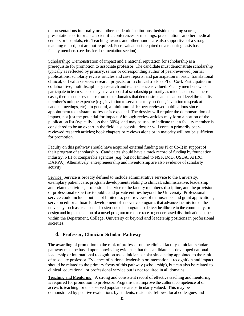on presentations internally or at other academic institutions, bedside teaching scores, presentations or tutorials at scientific conferences or meetings, presentations at other medical centers or hospitals, etc. Teaching awards and other honors are also supportive of a strong teaching record, but are not required. Peer evaluation is required on a recurring basis for all faculty members (see dossier documentation section).

Scholarship: Demonstration of impact and a national reputation for scholarship is a prerequisite for promotion to associate professor. The candidate must demonstrate scholarship typically as reflected by primary, senior or corresponding author of peer-reviewed journal publications, scholarly review articles and case reports, and participation in basic, translational clinical, or health services research projects, or in clinical trials as PI or Co-I. Participation in collaborative, multidisciplinary research and team science is valued. Faculty members who participate in team science may have a record of scholarship primarily as middle author. In these cases, there must be evidence from other domains that demonstrate at the national level the faculty member's unique expertise (e.g., invitation to serve on study sections, invitation to speak at national meetings, etc). In general, a minimum of 10 peer reviewed publications since appointment to assistant professor is expected. The dossier will require the demonstration of impact, not just the potential for impact. Although review articles may form a portion of the publication list (typically less than 30%), and may be used to indicate that a faculty member is considered to be an expert in the field, a successful dossier will contain primarily peerreviewed research articles; book chapters or reviews alone or in majority will not be sufficient for promotion.

Faculty on this pathway should have acquired external funding (as PI or Co-I) in support of their program of scholarship. Candidates should have a track record of funding by foundation, industry, NIH or comparable agencies (e.g. but not limited to NSF, DoD, USDA, AHRQ, DARPA). Alternatively, entrepreneurship and inventorship are also evidence of scholarly activity.

Service: Service is broadly defined to include administrative service to the University, exemplary patient care, program development relating to clinical, administrative, leadership and related activities, professional service to the faculty member's discipline, and the provision of professional expertise to public and private entities beyond the University. Professional service could include, but is not limited to, peer reviews of manuscripts and grant applications, serve on editorial boards, development of innovative programs that advance the mission of the university, such as creation and sustenance of a program to deliver healthcare to the community, or design and implementation of a novel program to reduce race or gender based discrimination in the within the Department, College, University or beyond and leadership positions in professional societies.

## **d. Professor, Clinician Scholar Pathway**

The awarding of promotion to the rank of professor on the clinical faculty-clinician-scholar pathway must be based upon convincing evidence that the candidate has developed national leadership or international recognition as a clinician scholar since being appointed to the rank of associate professor. Evidence of national leadership or international recognition and impact should be related to the primary focus of this pathway (scholarship), but can also be related to clinical, educational, or professional service but is not required in all domains.

Teaching and Mentoring: A strong and consistent record of effective teaching and mentoring is required for promotion to professor. Programs that improve the cultural competence of or access to teaching for underserved populations are particularly valued. This may be demonstrated by positive evaluations by students, residents, fellows, local colleagues and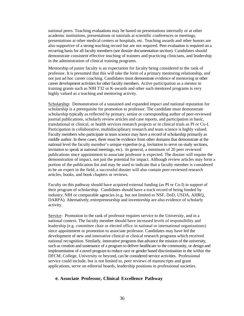national peers. Teaching evaluations may be based on presentations internally or at other academic institutions, presentations or tutorials at scientific conferences or meetings, presentations at other medical centers or hospitals, etc. Teaching awards and other honors are also supportive of a strong teaching record but are not required. Peer evaluation is required on a recurring basis for all faculty members (see dossier documentation section). Candidates should demonstrate consistent effective teaching of trainees and practicing clinicians, and leadership in the administration of clinical training programs.

Mentorship of junior faculty is an expectation for faculty being considered to the rank of professor. It is presumed that this will take the form of a primary mentoring relationship, and not just ad hoc career coaching. Candidates must demonstrate evidence of mentoring or other career development activities for other faculty members. Active participation as a mentor in training grants such as NIH T32 or K-awards and other such mentored programs is very highly valued as a teaching and mentoring activity.

Scholarship: Demonstration of a sustained and expanded impact and national reputation for scholarship is a prerequisite for promotion to professor. The candidate must demonstrate scholarship typically as reflected by primary, senior or corresponding author of peer-reviewed journal publications, scholarly review articles and case reports, and participation in basic, translational or clinical, or health services research projects or in clinical trials as PI or Co-I. Participation in collaborative, multidisciplinary research and team science is highly valued. Faculty members who participate in team science may have a record of scholarship primarily as middle author. In these cases, there must be evidence from other domains that demonstrate at the national level the faculty member's unique expertise (e.g. invitation to serve on study sections, invitation to speak at national meetings, etc). In general, a minimum of 20 peer reviewed publications since appointment to associate professor is expected. The dossier will require the demonstration of impact, not just the potential for impact. Although review articles may form a portion of the publication list and may be used to indicate that a faculty member is considered to be an expert in the field, a successful dossier will also contain peer-reviewed research articles, books, and book chapters or reviews.

Faculty on this pathway should have acquired external funding (as PI or Co-I) in support of their program of scholarship. Candidates should have a track record of being funded by industry, NIH or comparable agencies (e.g. but not limited to NSF, DoD, USDA, AHRQ, DARPA). Alternatively, entrepreneurship and inventorship are also evidence of scholarly activity.

Service: Promotion to the rank of professor requires service to the University, and in a national context. The faculty member should have increased levels of responsibility and leadership (e.g. committee chair or elected office in national or international organizations) since appointment or promotion to associate professor. Candidates may have led the development of new and innovative clinical or clinical research programs which received national recognition. Similarly, innovative programs that advance the mission of the university, such as creation and sustenance of a program to deliver healthcare to the community, or design and implementation of a novel program to reduce race or gender based discrimination in the within the DFCM, College, University or beyond, can be considered service activities. Professional service could include, but is not limited to, peer reviews of manuscripts and grant applications, serve on editorial boards, leadership positions in professional societies.

#### **e. Associate Professor, Clinical Excellence Pathway**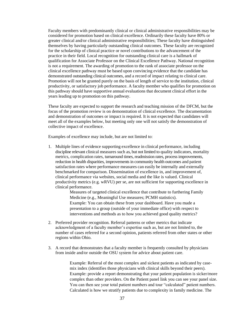Faculty members with predominantly clinical or clinical administrative responsibilities may be considered for promotion based on clinical excellence. Ordinarily these faculty have 80% or greater clinical and/or clinical administrative responsibilities; These faculty have distinguished themselves by having particularly outstanding clinical outcomes. These faculty are recognized for the scholarship of clinical practice or novel contributions to the advancement of the practice in their field. Local recognition for outstanding clinical care is a hallmark of qualification for Associate Professor on the Clinical Excellence Pathway. National recognition is not a requirement. The awarding of promotion to the rank of associate professor on the clinical excellence pathway must be based upon convincing evidence that the candidate has demonstrated outstanding clinical outcomes, and a record of impact relating to clinical care. Promotion will not be granted purely on the basis of length of service to the institution, clinical productivity, or satisfactory job performance. A faculty member who qualifies for promotion on this pathway should have supportive annual evaluations that document clinical effort in the years leading up to promotion on this pathway.

These faculty are expected to support the research and teaching mission of the DFCM, but the focus of the promotion review is on demonstration of clinical excellence. The documentation and demonstration of outcomes or impact is required. It is not expected that candidates will meet all of the examples below, but meeting only one will not satisfy the demonstration of collective impact of excellence.

Examples of excellence may include, but are not limited to:

1. Multiple lines of evidence supporting excellence in clinical performance, including discipline relevant clinical measures such as, but not limited to quality indicators, mortality metrics, complication rates, turnaround times, readmission rates, process improvements, reduction in health disparities, improvements in community health outcomes and patient satisfaction rates where performance measures can easily be internally and externally benchmarked for comparison. Dissemination of excellence in, and improvement of, clinical performance via websites, social media and the like is valued. Clinical productivity metrics (e.g. wRVU) per se, are not sufficient for supporting excellence in clinical performance.

> Measures of targeted clinical excellence that contribute to furthering Family Medicine (e.g., Meaningful Use measures; PCMH statistics). Example: You can obtain these from your dashboard. Have you made a presentation to a group (outside of your immediate office) with respect to interventions and methods as to how you achieved good quality metrics?

- 2. Preferred provider recognition. Referral patterns or other metrics that indicate acknowledgment of a faculty member's expertise such as, but are not limited to, the number of cases referred for a second opinion, patients referred from other states or other regions within Ohio.
- 3. A record that demonstrates that a faculty member is frequently consulted by physicians from inside and/or outside the OSU system for advice about patient care.

Example: Referral of the most complex and sickest patients as indicated by casemix index (identifies those physicians with clinical skills beyond their peers). Example: provide a report demonstrating that your patient population is sicker/more complex than other providers. On the Patient panel link you can see your panel size. You can then see your total patient numbers and tour "calculated" patient numbers. Calculated is how we stratify patients due to complexity in family medicine. The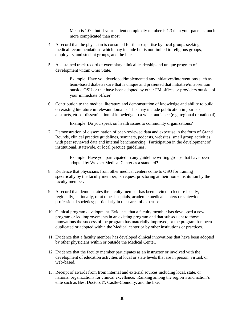Mean is 1.00, but if your patient complexity number is 1.3 then your panel is much more complicated than most.

- 4. A record that the physician is consulted for their expertise by local groups seeking medical recommendations which may include but is not limited to religious groups, employers, and student groups, and the like.
- 5. A sustained track record of exemplary clinical leadership and unique program of development within Ohio State.

Example: Have you developed/implemented any initiatives/interventions such as team-based diabetes care that is unique and presented that initiative/intervention outside OSU or that have been adopted by other FM offices or providers outside of your immediate office?

6. Contribution to the medical literature and demonstration of knowledge and ability to build on existing literature in relevant domains. This may include publication in journals, abstracts, etc. or dissemination of knowledge to a wider audience (e.g. regional or national).

Example: Do you speak on health issues to community organizations?

7. Demonstration of dissemination of peer-reviewed data and expertise in the form of Grand Rounds, clinical practice guidelines, seminars, podcasts, websites, small group activities with peer reviewed data and internal benchmarking. Participation in the development of institutional, statewide, or local practice guidelines.

> Example: Have you participated in any guideline writing groups that have been adopted by Wexner Medical Center as a standard?

- 8. Evidence that physicians from other medical centers come to OSU for training specifically by the faculty member, or request proctoring at their home institution by the faculty member.
- 9. A record that demonstrates the faculty member has been invited to lecture locally, regionally, nationally, or at other hospitals, academic medical centers or statewide professional societies; particularly in their area of expertise.
- 10. Clinical program development. Evidence that a faculty member has developed a new program or led improvements in an existing program and that subsequent to those innovations the success of the program has materially improved, or the program has been duplicated or adopted within the Medical center or by other institutions or practices.
- 11. Evidence that a faculty member has developed clinical innovations that have been adopted by other physicians within or outside the Medical Center.
- 12. Evidence that the faculty member participates as an instructor or involved with the development of education activities at local or state levels that are in person, virtual, or web-based.
- 13. Receipt of awards from from internal and external sources including local, state, or national organizations for clinical excellence. Ranking among the region's and nation's elite such as Best Doctors ©, Castle-Connolly, and the like.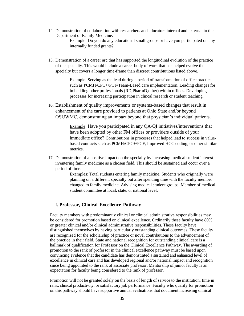14. Demonstration of collaboration with researchers and educators internal and external to the Department of Family Medicine.

Example: Do you do any educational small groups or have you participated on any internally funded grants?

15. Demonstration of a career arc that has supported the longitudinal evolution of the practice of the specialty. This would include a career body of work that has helped evolve the specialty but covers a longer time-frame than discreet contribtutions listed above.

> Example: Serving as the lead during a period of transformation of office practice such as PCMH/CPC+/PCF/Team-Based care implementation. Leading changes for imbedding other professionals (RD,PharmD,other) within offices. Developing processes for increasing participation in clincal research or student teaching.

16. Establishment of quality improvements or systems-based changes that result in enhancement of the care provided to patients at Ohio State and/or beyond OSUWMC, demonstrating an impact beyond that physician's individual patients.

> Example: Have you participated in any QA/QI initiatives/interventions that have been adopted by other FM offices or providers outside of your immediate office? Contributions in processes that helped lead to success in valuebased contracts such as PCMH/CPC+/PCF, Improved HCC coding, or other similar metrics.

17. Demonstration of a positive impact on the specialty by increasing medical student interest in/entering family medicine as a chosen field. This should be sustained and occur over a period of time.

> Examples: Total students entering family medicine. Students who originally were planning on a different specialty but after spending time with the faculty member changed to family medicine. Advising medical student groups. Member of medical student committee at local, state, or national level.

## **f. Professor, Clinical Excellence Pathway**

Faculty members with predominantly clinical or clinical administrative responsibilities may be considered for promotion based on clinical excellence. Ordinarily these faculty have 80% or greater clinical and/or clinical administrative responsibilities. These faculty have distinguished themselves by having particularly outstanding clinical outcomes. These faculty are recognized for the scholarship of practice or novel contributions to the advancement of the practice in their field. State and national recognition for outstanding clinical care is a hallmark of qualification for Professor on the Clinical Excellence Pathway. The awarding of promotion to the rank of professor in the clinical excellence pathway must be based upon convincing evidence that the candidate has demonstrated a sustained and enhanced level of excellence in clinical care and has developed regional and/or national impact and recognition since being appointed to the rank of associate professor. Mentorship of junior faculty is an expectation for faculty being considered to the rank of professor.

Promotion will not be granted solely on the basis of length of service to the institution, time in rank, clinical productivity, or satisfactory job performance. Faculty who qualify for promotion on this pathway should have supportive annual evaluations that document increasing clinical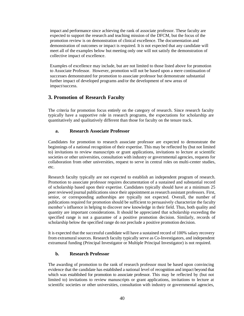impact and performance since achieving the rank of associate professor. These faculty are expected to support the research and teaching mission of the DFCM, but the focus of the promotion review is on demonstration of clinical excellence. The documentation and demonstration of outcomes or impact is required. It is not expected that any candidate will meet all of the examples below but meeting only one will not satisfy the demonstration of collective impact of excellence.

Examples of excellence may include, but are not limited to those listed above for promotion to Associate Professor. However, promotion will not be based upon a mere continuation of successes demonstrated for promotion to associate professor but demonstrate substantial further impact of developed programs and/or the development of new areas of impact/success.

# **3. Promotion of Research Faculty**

The criteria for promotion focus entirely on the category of research. Since research faculty typically have a supportive role in research programs, the expectations for scholarship are quantitatively and qualitatively different than those for faculty on the tenure track.

#### **a. Research Associate Professor**

Candidates for promotion to research associate professor are expected to demonstrate the beginnings of a national recognition of their expertise. This may be reflected by (but not limited to) invitations to review manuscripts or grant applications, invitations to lecture at scientific societies or other universities, consultation with industry or governmental agencies, requests for collaboration from other universities, request to serve in central roles on multi-center studies, etc.

Research faculty typically are not expected to establish an independent program of research. Promotion to associate professor requires documentation of a sustained and substantial record of scholarship based upon their expertise. Candidates typically should have at a minimum 25 peer reviewed journal publications since their appointment as research assistant professors. First, senior, or corresponding authorships are typically not expected. Overall, the number of publications required for promotion should be sufficient to persuasively characterize the faculty member's influence in helping to discover new knowledge in their field. Thus, both quality and quantity are important considerations. It should be appreciated that scholarship exceeding the specified range is not a guarantee of a positive promotion decision. Similarly, records of scholarship below the specified range do not preclude a positive promotion decision.

It is expected that the successful candidate will have a sustained record of 100% salary recovery from extramural sources. Research faculty typically serve as Co-Investigators, and independent extramural funding (Principal Investigator or Multiple Principal Investigator) is not required.

## **b. Research Professor**

The awarding of promotion to the rank of research professor must be based upon convincing evidence that the candidate has established a national level of recognition and impact beyond that which was established for promotion to associate professor. This may be reflected by (but not limited to) invitations to review manuscripts or grant applications, invitations to lecture at scientific societies or other universities, consultation with industry or governmental agencies,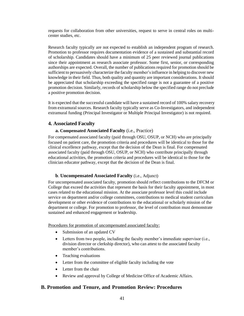requests for collaboration from other universities, request to serve in central roles on multicenter studies, etc.

Research faculty typically are not expected to establish an independent program of research. Promotion to professor requires documentation evidence of a sustained and substantial record of scholarship. Candidates should have a minimum of 25 peer reviewed journal publications since their appointment as research associate professor. Some first, senior, or corresponding authorships are expected. Overall, the number of publications required for promotion should be sufficient to persuasively characterize the faculty member's influence in helping to discover new knowledge in their field. Thus, both quality and quantity are important considerations. It should be appreciated that scholarship exceeding the specified range is not a guarantee of a positive promotion decision. Similarly, records of scholarship below the specified range do not preclude a positive promotion decision.

It is expected that the successful candidate will have a sustained record of 100% salary recovery from extramural sources. Research faculty typically serve as Co-Investigators, and independent extramural funding (Principal Investigator or Multiple Principal Investigator) is not required.

## **4. Associated Faculty**

#### **a. Compensated Associated Faculty** (i.e., Practice)

For compensated associated faculty (paid through OSU, OSUP, or NCH) who are principally focused on patient care, the promotion criteria and procedures will be identical to those for the clinical excellence pathway, except that the decision of the Dean is final. For compensated associated faculty (paid through OSU, OSUP, or NCH) who contribute principally through educational activities, the promotion criteria and procedures will be identical to those for the clinician educator pathway, except that the decision of the Dean is final.

## **b**. **Uncompensated Associated Faculty** (i.e., Adjunct)

For uncompensated associated faculty, promotion should reflect contributions to the DFCM or College that exceed the activities that represent the basis for their faculty appointment, in most cases related to the educational mission. At the associate professor level this could include service on department and/or college committees, contributions to medical student curriculum development or other evidence of contributions to the educational or scholarly mission of the department or college. For promotion to professor, the level of contribution must demonstrate sustained and enhanced engagement or leadership.

Procedures for promotion of uncompensated associated faculty:

- Submission of an updated CV
- Letters from two people, including the faculty member's immediate supervisor (i.e., division director or clerkship director), who can attest to the associated faculty member's contributions.
- Teaching evaluations
- Letter from the committee of eligible faculty including the vote
- Letter from the chair
- Review and approval by College of Medicine Office of Academic Affairs.

## **B. Promotion and Tenure, and Promotion Review: Procedures**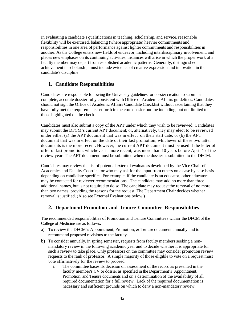In evaluating a candidate's qualifications in teaching, scholarship, and service, reasonable flexibility will be exercised, balancing (where appropriate) heavier commitments and responsibilities in one area of performance against lighter commitments and responsibilities in another. As the College enters new fields of endeavor, including interdisciplinary involvement, and places new emphases on its continuing activities, instances will arise in which the proper work of a faculty member may depart from established academic patterns. Generally, distinguished achievement in scholarship must include evidence of creative expression and innovation in the candidate's discipline.

# **1. Candidate Responsibilities**

Candidates are responsible following the University guidelines for dossier creation to submit a complete, accurate dossier fully consistent with Office of Academic Affairs guidelines. Candidates should not sign the Office of Academic Affairs Candidate Checklist without ascertaining that they have fully met the requirements set forth in the core dossier outline including, but not limited to, those highlighted on the checklist.

Candidates must also submit a copy of the APT under which they wish to be reviewed. Candidates may submit the DFCM's current APT document; or, alternatively, they may elect to be reviewed under either (a) the APT document that was in effect on their start date, or (b) the APT document that was in effect on the date of their last promotion, whichever of these two latter documents is the more recent. However, the current APT document must be used if the letter of offer or last promotion, whichever is more recent, was more than 10 years before April 1 of the review year. The APT document must be submitted when the dossier is submitted to the DFCM.

Candidates may review the list of potential external evaluators developed by the Vice Chair of Academics and Faculty Coordinator who may ask for the input from others on a case by case basis depending on candidiate specifics. For example, if the candidate is an educator, other educators may be contacted for reviewer recommendations. The candidate may add no more than three additional names, but is not required to do so. The candidate may request the removal of no more than two names, providing the reasons for the request. The Department Chair decides whether removal is justified. (Also see External Evaluations below.)

# **2. Department Promotion and Tenure Committee Responsibilities**

The recommended responsibilities of Promotion and Tenure Committees within the DFCM of the College of Medicine are as follows:

- a) To review the DFCM's Appointment, Promotion, & Tenure document annually and to recommend proposed revisions to the faculty.
- b) To consider annually, in spring semester, requests from faculty members seeking a nonmandatory review in the following academic year and to decide whether it is appropriate for such a review to take place. Only professors on the committee may consider promotion review requests to the rank of professor. A simple majority of those eligible to vote on a request must vote affirmatively for the review to proceed.
	- i. The committee bases its decision on assessment of the record as presented in the faculty member's CV or dossier as specified in the Department's Appointment, Promotion, and Tenure documents and on a determination of the availability of all required documentation for a full review. Lack of the required documentation is necessary and sufficient grounds on which to deny a non-mandatory review.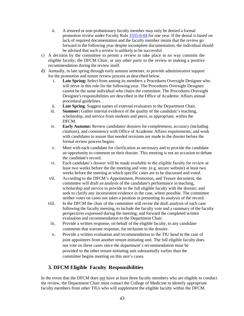- ii. A tenured or non-probationary faculty member may only be denied a formal promotion review under Faculty Rule [3335-6-04](https://trustees.osu.edu/bylaws-and-rules/3335-6) for one year. If the denial is based on lack of required documentation and the faculty member insists that the review go forward in the following year despite incomplete documentation, the individual should be advised that such a review is unlikely to be successful.
- c) A decision by the committee to permit a review to take place in no way commits the eligible faculty, the DFCM Chair, or any other party to the review to making a positive recommendation during the review itself.
- d) Annually, in late spring through early autumn semester, to provide administrative support for the promotion and tenure review process as described below.
	- i. **Late Spring:** Select from among its members a Procedures Oversight Designee who will serve in this role for the following year. The Procedures Oversight Designee cannot be the same individual who chairs the committee. The Procedures Oversight Designee's responsibilities are described in the Office of Academic Affairs annual procedural guidelines.
	- ii. **Late Spring**: Suggest names of external evaluators to the Department Chair.
	- iii. **Summer:** Gather internal evidence of the quality of the candidate's teaching, scholarship, and service from students and peers, as appropriate, within the DFCM.
	- iv. **Early Autumn:** Review candidates' dossiers for completeness, accuracy (including citations), and consistency with Office of Academic Affairs requirements; and work with candidates to assure that needed revisions are made in the dossier before the formal review process begins.
	- v. Meet with each candidate for clarification as necessary and to provide the candidate an opportunity to comment on their dossier. This meeting is not an occasion to debate the candidate's record.
	- vi. Each candidate's dossier will be made available to the eligible faculty for review at least two weeks before the the meeting and vote. (e.g. secure website) at least two weeks before the meeting at which specific cases are to be discussed and voted.
	- vii. According to the DFCM's Appointment, Promotion, and Tenure document, the committee will draft an analysis of the candidate's performance in teaching, scholarship and service to provide to the full eligible faculty with the dossier; and seek to clarify any inconsistent evidence in the case, where possible. The committee neither votes on cases nor takes a position in presenting its analysis of the record.
	- viii. In the DFCM the chair of the committee will revise the draft analysis of each case following the faculty meeting, to include the faculty vote and a summary of the faculty perspectives expressed during the meeting; and forward the completed written evaluation and recommendation to the Department Chair.
	- ix. Provide a written response, on behalf of the eligible faculty, to any candidate comments that warrant response, for inclusion in the dossier.
	- x. Provide a written evaluation and recommendation to the TIU head in the case of joint appointees from another tenure-initiating unit. The full eligible faculty does not vote on these cases since the department's recommendation must be provided to the other tenure-initiating unit substantially earlier than the committee begins meeting on this unit's cases.

# **3. DFCM Eligible Faculty Responsibilities**

In the event that the DFCM does not have at least three faculty members who are eligible to conduct the review, the Department Chair must contact the College of Medicine to identify appropriate faculty members from other TIUs who will supplement the eligible faculty within the DFCM.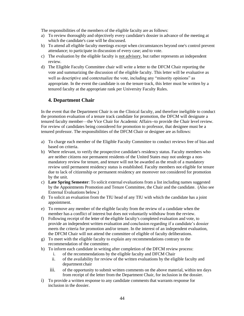The responsibilities of the members of the eligible faculty are as follows:

- a) To review thoroughly and objectively every candidate's dossier in advance of the meeting at which the candidate's case will be discussed.
- b) To attend all eligible faculty meetings except when circumstances beyond one's control prevent attendance; to participate in discussion of every case; and to vote.
- c) The evaluation by the eligible faculty is not advisory, but rather represents an independent review.
- d) The Eligible Faculty Committee chair will write a letter to the DFCM Chair reporting the vote and summarizing the discussion of the eligible faculty. This letter will be evaluative as well as descriptive and contextualize the vote, including any "minority opinions" as appropriate. In the event the candidate is on the tenure track, this letter must be written by a tenured faculty at the appropriate rank per University Faculty Rules.

## **4. Department Chair**

In the event that the Department Chair is on the Clinical faculty, and therefore ineligible to conduct the promotion evaluation of a tenure track candidate for promotion, the DFCM will designate a tenured faculty member—the Vice Chair for Academic Affairs--to provide the Chair level review. For review of candidates being considered for promotion to professor, that designee must be a tenured professor. The responsibilities of the DFCM Chair or designee are as follows:

- a) To charge each member of the Eligible Faculty Committee to conduct reviews free of bias and based on criteria.
- b) Where relevant, to verify the prospective candidate's residency status. Faculty members who are neither citizens nor permanent residents of the United States may not undergo a nonmandatory review for tenure, and tenure will not be awarded as the result of a mandatory review until permanent residency status is established. Faculty members not eligible for tenure due to lack of citizenship or permanent residency are moreover not considered for promotion by the unit.
- c) **Late Spring Semester**: To solicit external evaluations from a list including names suggested by the Appointments Promotion and Tenure Committee, the Chair and the candidate. (Also see External Evaluations below.)
- d) To solicit an evaluation from the TIU head of any TIU with which the candidate has a joint appointment.
- e) To remove any member of the eligible faculty from the review of a candidate when the member has a conflict of interest but does not voluntarily withdraw from the review.
- f) Following receipt of the letter of the eligible faculty's completed evaluation and vote, to provide an independent written evaluation and conclusion regarding if a candidate's dossier meets the criteria for promotion and/or tenure. In the interest of an independent evaluation, the DFCM Chair will not attend the committee of eligible of faculty deliberations.
- g) To meet with the eligible faculty to explain any recommendations contrary to the recommendation of the committee.
- h) To inform each candidate in writing after completion of the DFCM review process:
	- i. of the recommendations by the eligible faculty and DFCM Chair
	- ii. of the availability for review of the written evaluations by the eligible faculty and department chair
	- iii. of the opportunity to submit written comments on the above material, within ten days from receipt of the letter from the Department Chair, for inclusion in the dossier.
- i) To provide a written response to any candidate comments that warrants response for inclusion in the dossier.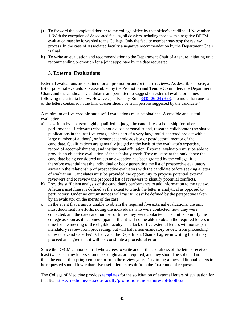- j) To forward the completed dossier to the college office by that office's deadline of November 1. With the exception of Associated faculty, all dossiers including those with a negative DFCM evaluation must be forwarded to the College. Only the faculty member may stop the review process. In the case of Associated faculty a negative recommendation by the Department Chair is final.
- k) To write an evaluation and recommendation to the Department Chair of a tenure initiating unit recommending promotion for a joint appointee by the date requested.

## **5. External Evaluations**

External evaluations are obtained for all promotion and/or tenure reviews. As described above, a list of potential evaluators is assembled by the Promotion and Tenure Committee, the Department Chair, and the candidate. Candidates are permitted to suggestion external evaluator names following the criteria below. However, per Faculty Rule [3335-06-04](https://trustees.osu.edu/university-faculty-rules/3335-6) (B) 3, "no more than one-half of the letters contained in the final dossier should be from persons suggested by the candidate."

A minimum of five credible and useful evaluations must be obtained. A credible and useful evaluation:

- a) Is written by a person highly qualified to judge the candidate's scholarship (or other performance, if relevant) who is not a close personal friend, research collaborator (no shared publications in the last five years, unless part of a very large multi-centered project with a large number of authors), or former academic advisor or postdoctoral mentor of the candidate. Qualifications are generally judged on the basis of the evaluator's expertise, record of accomplishments, and institutional affiliation. External evaluators must be able to provide an objective evaluation of the scholarly work. They must be at the rank above the candidate being considered unless an exception has been granted by the college. It is therefore essential that the individual or body generating the list of prospective evaluators ascertain the relationship of prospective evaluators with the candidate before seeking a letter of evaluation. Candidates must be provided the opportunity to propose potential external reviewers and to review the proposed list of reviewers to identify potential conflicts.
- b) Provides sufficient analysis of the candidate's performance to add information to the review. A letter's usefulness is defined as the extent to which the letter is analytical as opposed to perfunctory. Under no circumstances will "usefulness" be defined by the perspective taken by an evaluator on the merits of the case.
- c) In the event that a unit is unable to obtain the required five external evaluations, the unit must document its efforts, noting the individuals who were contacted, how they were contacted, and the dates and number of times they were contacted. The unit is to notify the college as soon as it becomes apparent that it will not be able to obtain the required letters in time for the meeting of the eligible faculty. The lack of five external letters will not stop a mandatory review from proceeding, but will halt a non-mandatory review from proceeding unless the candidate, P&T Chair, and the Department Chair all agree in writing that it may proceed and agree that it will not constitute a procedural error.

Since the DFCM cannot control who agrees to write and or the usefulness of the letters received, at least twice as many letters should be sought as are required, and they should be solicited no later than the end of the spring semester prior to the review year. This timing allows additional letters to be requested should fewer than five useful letters result from the first round of requests.

The College of Medicine provide[s templates](https://medicine.osu.edu/faculty/promotion-and-tenure/apt-toolbox) for the solicitation of external letters of evaluation for faculty. <https://medicine.osu.edu/faculty/promotion-and-tenure/apt-toolbox>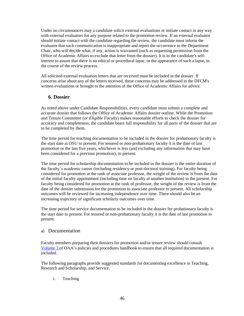Under no circumstances may a candidate solicit external evaluations or initiate contact in any way with external evaluators for any purpose related to the promotion review. If an external evaluator should initiate contact with the candidate regarding the review, the candidate must inform the evaluator that such communication is inappropriate and report the occurrence to the Department Chair, who will decide what, if any, action is warranted (such as requesting permission from the Office of Academic Affairs to exclude that letter from the dossier). It is in the candidate's selfinterest to assure that there is no ethical or procedural lapse, or the appearance of such a lapse, in the course of the review process.

All solicited external evaluation letters that are received must be included in the dossier. If concerns arise about any of the letters received, these concerns may be addressed in the DFCM's written evaluations or brought to the attention of the Office of Academic Affairs for advice.

## **6. Dossier**

As noted above under Candidate Responsibilities, every candidate must submit a complete and accurate dossier that follows the Office of Academic Affairs dossier outline. While the Promotion and Tenure Committee (*or Eligible Faculty*) makes reasonable efforts to check the dossier for accuracy and completeness, the candidate bears full responsibility for all parts of the dossier that are to be completed by them.

The time period for teaching documentation to be included in the dossier for probationary faculty is the start date at OSU to present. For tenured or non-probationary faculty it is the date of last promotion or the last five years, whichever is less (and excluding any information that may have been considered for a previous promotion), to present.

The time period for scholarship documentation to be included in the dossier is the entire duration of the faculty's academic career (including residency or post-doctoral training). For faculty being considered for promotion at the rank of associate professor, the weight of the review is from the date of the initial faculty appointment (including time on faculty at another institution) to the present. For faculty being considered for promotion at the rank of professor, the weight of the review is from the date of the dossier submission for the promotion to associate professor to present. All scholarship outcomes will be reviewed for increasing independence over time. There should also be an increasing trajectory of significant scholarly outcomes over time.

The time period for service documentation to be included in the dossier for probationary faculty is the start date to present. For tenured or non-probationary faculty it is the date of last promotion to present.

#### a) Documentation

Faculty members preparing their dossiers for promotion and/or tenure review should consult [Volume](https://oaa.osu.edu/sites/default/files/uploads/handbooks/policies-and-procedures/HB3.pdf) 3 of OAA's policies and procedures handbook to ensure that all required documentation is included.

The following paragraphs provide suggested standards for documenting excellence in Teaching, Research and Scholarship, and Service.

i. Teaching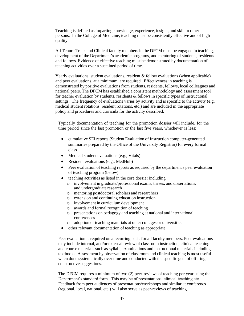Teaching is defined as imparting knowledge, experience, insight, and skill to other persons. In the College of Medicine, teaching must be consistently effective and of high quality.

All Tenure Track and Clinical faculty members in the DFCM must be engaged in teaching, development of the Department's academic programs, and mentoring of students, residents and fellows. Evidence of effective teaching must be demonstrated by documentation of teaching activities over a sustained period of time.

Yearly evaluations, student evaluations, resident & fellow evaluations (when applicable) and peer evaluations, at a minimum, are required. Effectiveness in teaching is demonstrated by positive evaluations from students, residents, fellows, local colleagues and national peers. The DFCM has established a consistent methodology and assessment tool for teacher evaluation by students, residents  $\&$  fellows in specific types of instructional settings. The frequency of evaluations varies by activity and is specific to the activity (e.g. medical student rotations, resident rotations, etc.) and are included in the appropriate policy and procedures and curricula for the activity described.

Typically documentation of teaching for the promotion dossier will include, for the time period since the last promotion or the last five years, whichever is less:

- cumulative SEI reports (Student Evaluation of Instruction computer-generated summaries prepared by the Office of the University Registrar) for every formal class
- Medical student evaluations (e.g., Vitals)
- Resident evaluations (e.g., MedHub)
- Peer evaluation of teaching reports as required by the department's peer evaluation of teaching program (below)
- teaching activities as listed in the core dossier including
	- o involvement in graduate/professional exams, theses, and dissertations, and undergraduate research
	- o mentoring postdoctoral scholars and researchers
	- o extension and continuing education instruction
	- o involvement in curriculum development
	- o awards and formal recognition of teaching
	- o presentations on pedagogy and teaching at national and international conferences
	- o adoption of teaching materials at other colleges or universities
- other relevant documentation of teaching as appropriate

Peer evaluation is required on a recurring basis for all faculty members. Peer evaluations may include internal, and/or external review of classroom instruction, clinical teaching and course materials such as syllabi, examinations and instructional materials including textbooks. Assessment by observation of classroom and clinical teaching is most useful when done systematically over time and conducted with the specific goal of offering constructive suggestions.

The DFCM requires a minimum of two (2) peer-reviews of teaching per year using the Department's standard form. This may be of presentations, clinical teaching etc. Feedback from peer audiences of presentations/workshops and similar at conferencs (regional, local, national, etc.) will also serve as peer-reviews of teaching.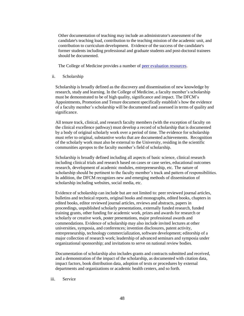Other documentation of teaching may include an administrator's assessment of the candidate's teaching load, contribution to the teaching mission of the academic unit, and contribution to curriculum development. Evidence of the success of the candidate's former students including professional and graduate students and post-doctoral trainees should be documented.

The College of Medicine provides a number of [peer evaluation resources.](https://medicine.osu.edu/faculty/fame/our-programs/educators/peer-review-of-teaching)

ii. Scholarship

Scholarship is broadly defined as the discovery and dissemination of new knowledge by research, study and learning. In the College of Medicine, a faculty member's scholarship must be demonstrated to be of high quality, significance and impact. The DFCM's Appointments, Promotion and Tenure document specifically establish's how the evidence of a faculty member's scholarship will be documented and assessed in terms of quality and significance.

All tenure track, clinical, and research faculty members (with the exception of faculty on the clinical excellence pathway) must develop a record of scholarship that is documented by a body of original scholarly work over a period of time. The evidence for scholarship must refer to original, substantive works that are documented achievements. Recognition of the scholarly work must also be external to the University, residing in the scientific communities apropos to the faculty member's field of scholarship.

Scholarship is broadly defined including all aspects of basic science, clinical research including clinical trials and research based on cases or case series, educational outcomes research, development of academic modules, entrepreneurship, etc. The nature of scholarship should be pertinent to the faculty member's track and pattern of responsibilities. In addition, the DFCM recognizes new and emerging methods of dissemination of scholarship including websites, social media, etc.

Evidence of scholarship can include but are not limited to: peer reviewed journal articles, bulletins and technical reports, original books and monographs, edited books, chapters in edited books, editor reviewed journal articles, reviews and abstracts, papers in proceedings, unpublished scholarly presentations, externally funded research, funded training grants, other funding for academic work, prizes and awards for research or scholarly or creative work, poster presentations, major professional awards and commendations. Evidence of scholarship may also include invited lectures at other universities, symposia, and conferences; invention disclosures, patent activity, entrepreneurship, technology commercialization, software development; editorship of a major collection of research work; leadership of advanced seminars and symposia under organizational sponsorship; and invitations to serve on national review bodies.

Documentation of scholarship also includes grants and contracts submitted and received, and a demonstration of the impact of the scholarship, as documented with citation data, impact factors, book distribution data, adoption of texts or procedures by external departments and organizations or academic health centers, and so forth.

#### iii. Service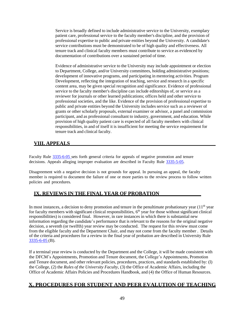Service is broadly defined to include administrative service to the University, exemplary patient care, professional service to the faculty member's discipline, and the provision of professional expertise to public and private entities beyond the University. A candidate's service contributions must be demonstrated to be of high quality and effectiveness. All tenure track and clinical faculty members must contribute to service as evidenced by documentation of contributions over a sustained period of time.

Evidence of administrative service to the University may include appointment or election to Department, College, and/or University committees, holding administrative positions; development of innovative programs, and participating in mentoring activities. Program Development, reflecting the integration of teaching, service and research in a specific content area, may be given special recognition and significance. Evidence of professional service to the faculty member's discipline can include editorships of, or service as a reviewer for journals or other learned publications; offices held and other service to professional societies, and the like. Evidence of the provision of professional expertise to public and private entities beyond the University includes service such as a reviewer of grants or other scholarly proposals, external examiner or advisor, a panel and commission participant, and as professional consultant to industry, government, and education. While provision of high quality patient care is expected of all faculty members with clinical responsibilities, in and of itself it is insufficient for meeting the service requirement for tenure track and clinical faculty.

# **VIII. APPEALS**

Faculty Rule [3335-6-05](https://trustees.osu.edu/university-faculty-rules/3335-6) sets forth general criteria for appeals of negative promotion and tenure decisions. Appeals alleging improper evaluation are described in Faculty Rule [3335-5-05.](https://trustees.osu.edu/bylaws-and-rules/3335-5)

Disagreement with a negative decision is not grounds for appeal. In pursuing an appeal, the faculty member is required to document the failure of one or more parties to the review process to follow written policies and procedures.

# **IX. REVIEWS IN THE FINAL YEAR OF PROBATION**

In most instances, a decision to deny promotion and tenure in the penultimate probationary year  $(11<sup>th</sup>$  year for faculty members with significant clinical responsibilities,  $6<sup>th</sup>$  year for those without significant clinical responsibilities) is considered final. However, in rare instances in which there is substantial new information regarding the candidate's performance that is relevant to the reasons for the original negative decision, a seventh (or twelfth) year review may be conducted. The request for this review must come from the eligible faculty and the Department Chair, and may not come from the faculty member . Details of the criteria and procedures for a review in the final year of probation are described in University Rule [3335-6-05](https://trustees.osu.edu/university-faculty-rules/3335-6) (B).

If a terminal year review is conducted by the Department and the College, it will be made consistent with the DFCM's Appointments, Promotion and Tenure document, the College's Appointments, Promotion and Tenure document, and other relevant policies, procedures, practices, and standards established by: (l) the College, (2) the *Rules of the University Faculty*, (3) the Office of Academic Affairs, including the Office of Academic Affairs Policies and Procedures Handbook*,* and (4) the Office of Human Resources.

# **X. PROCEDURES FOR STUDENT AND PEER EVALUTION OF TEACHING**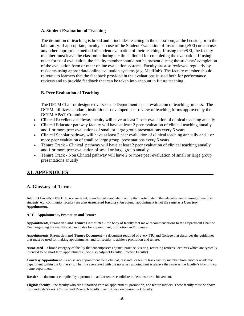#### **A. Student Evaluation of Teaching**

The definition of teaching is broad and it includes teaching in the classroom, at the bedside, or in the laboratory. If appropriate, faculty can use of the Student Evaluation of Instruction (eSEI) or can use any other appropriate method of student evaluation of their teaching. If using the eSEI, the faculty member must leave the classroom during the time allotted for completing the evaluation. If using other forms of evaluation, the faculty member should not be present during the students' completion of the evaluation form or other online evaluation systems. Faculty are also reviewed regularly by residents using appropriate online evaluation systems (e.g. MedHub). The faculty member should reiterate to learners that the feedback provided in the evaluations is used both for performance reviews and to provide feedback that can be taken into account in future teaching.

#### **B. Peer Evaluation of Teaching**

The DFCM Chair or designee oversees the Department's peer evaluation of teaching process. The DCFM utililizes standard, institutional-developed peer review of teaching forms approved by the DCFM AP&T Committee.

- Clinical Excellence pathway faculty will have at least 2 peer evaluation of clinical teaching anually
- Clinical Educator pathway faculty will have at least 2 peer evaluation of clinical teaching anually and 1 or more peer evaluations of small or large group presentations every 5 years
- Clinical Scholar pathway will have at least 2 peer evaluation of clinical teaching annually and 1 or more peer evaluation of small or large group presentations every 5 years
- Tenure Track Clinical pathway will have at least 2 peer evaluation of clinical teaching anually and 1 or more peer evaluation of small or large group anually
- Tenure Track Non Clinical pathway will have 2 or more peer evaluation of small or large group presentations anually

## **XI. APPENDICES**

## **A. Glossary of Terms**

**Adjunct Faculty** – 0% FTE, non-salaried, non-clinical associated faculty that participate in the education and training of medical students. e.g. community faculty (see also **Associated Faculty**). An adjunct appointment is not the same as a **Courtesy Appointment**.

#### **APT** – **Appointments, Promotion and Tenure**

**Appointments, Promotion and Tenure Committee** – the body of faculty that make recommendations to the Department Chair or Dean regarding the viability of candidates for appointment, promotion and/or tenure.

**Appointments, Promotion and Tenure Document –** a document required of every TIU and College that describes the guidelines that must be used for making appointments, and for faculty to achieve promotion and tenure.

**Associated** – a broad category of faculty that encompasses adjunct, practice, visiting, returning retirees, lecturers which are typically intended to be short term appointments. (See also Adjunct Faculty, Practice Faculty)

**Courtesy Appointment** – a no salary appointment for a clinical, research, or tenure track faculty member from another academic department within the University. The title associated with the no salary appointment is always the same as the faculty's title in their home department.

**Dossier** – a document compiled by a promotion and/or tenure candidate to demonstrate achievement.

**Eligible faculty** – the faculty who are authorized vote on appointment, promotion, and tenure matters. These faculty must be above the candidate's rank. Clinical and Research faculty may not vote on tenure track faculty.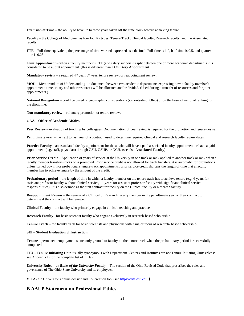**Exclusion of Time** – the ability to have up to three years taken off the time clock toward achieving tenure.

**Faculty** – the College of Medicine has four faculty types: Tenure Track, Clinical faculty, Research faculty, and the Associated faculty.

**FTE** – Full-time equivalent, the percentage of time worked expressed as a decimal. Full-time is 1.0, half-time is 0.5, and quartertime is 0.25.

**Joint Appointment** – when a faculty member's FTE (and salary support) is split between one or more academic departments it is considered to be a joint appointment. (this is different than a **Courtesy Appointment**)

**Mandatory review** – a required 4<sup>th</sup> year, 8<sup>th</sup> year, tenure review, or reappointment review.

**MOU** – Memorandum of Understanding – a document between two academic departments expressing how a faculty member's appointment, time, salary and other resources will be allocated and/or divided. (Used during a transfer of resources and for joint appointments.)

**National Recognition** – could be based on geographic considerations (i.e. outside of Ohio) or on the basis of national ranking for the discipline.

**Non-mandatory review** – voluntary promotion or tenure review.

#### **OAA** – **Office of Academic Affairs.**

Peer Review – evaluation of teaching by colleagues. Documentation of peer review is required for the promotion and tenure dossier.

**Penultimate year** – the next to last year of a contract, used to determine required clinical and research faculty review dates.

**Practice Faculty** – an associated faculty appointment for those who will have a paid associated faculty appointment or have a paid appointment (e.g. staff, physician) through OSU, OSUP, or NCH. (see also **Associated Faculty**)

**Prior Service Credit** – Application of years of service at the University in one track or rank applied to another track or rank when a faculty member transfers tracks or is promoted. Prior service credit is not allowed for track transfers; it is automatic for promotions unless turned down. For probationary tenure track appointments, prior service credit shortens the length of time that a faculty member has to achieve tenure by the amount of the credit.

**Probationary period** – the length of time in which a faculty member on the tenure track has to achieve tenure (e.g. 6 years for assistant professor faculty without clinical service, 11 years for assistant professor faculty with significant clinical service responsibilities). It is also defined as the first contract for faculty on the Clinical faculty or Research faculty.

**Reappointment Review** – the review of a Clinical or Research faculty member in the penultimate year of their contract to determine if the contract will be renewed.

**Clinical Faculty** – the faculty who primarily engage in clinical, teaching and practice.

**Research Faculty** –for basic scientist faculty who engage exclusively in research-based scholarship.

**Tenure Track** – the faculty track for basic scientists and physicians with a major focus of research- based scholarship.

#### **SEI** – **Student Evaluation of Instruction.**

**Tenure** – permanent employment status only granted to faculty on the tenure track when the probationary period is successfully completed.

**TIU** – **Tenure Initiating Unit**, usually synonymous with Department. Centers and Institutes are not Tenure Initiating Units (please see Appendix B for the complete list of TIUs).

**University Rules – or** *Rules of the University Faculty* – The section of the Ohio Revised Code that prescribes the rules and governance of The Ohio State University and its employees.

**VITA**- the University's online dossier and CV creation tool (se[e https://vita.osu.edu/](https://vita.osu.edu/))

#### **B AAUP Statement on Professional Ethics**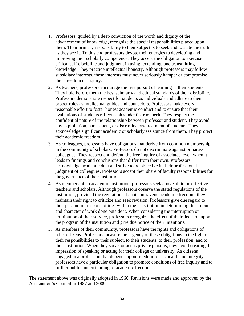- 1. Professors, guided by a deep conviction of the worth and dignity of the advancement of knowledge, recognize the special responsibilities placed upon them. Their primary responsibility to their subject is to seek and to state the truth as they see it. To this end professors devote their energies to developing and improving their scholarly competence. They accept the obligation to exercise critical self-discipline and judgment in using, extending, and transmitting knowledge. They practice intellectual honesty. Although professors may follow subsidiary interests, these interests must never seriously hamper or compromise their freedom of inquiry.
- 2. As teachers, professors encourage the free pursuit of learning in their students. They hold before them the best scholarly and ethical standards of their discipline. Professors demonstrate respect for students as individuals and adhere to their proper roles as intellectual guides and counselors. Professors make every reasonable effort to foster honest academic conduct and to ensure that their evaluations of students reflect each student's true merit. They respect the confidential nature of the relationship between professor and student. They avoid any exploitation, harassment, or discriminatory treatment of students. They acknowledge significant academic or scholarly assistance from them. They protect their academic freedom.
- 3. As colleagues, professors have obligations that derive from common membership in the community of scholars. Professors do not discriminate against or harass colleagues. They respect and defend the free inquiry of associates, even when it leads to findings and conclusions that differ from their own. Professors acknowledge academic debt and strive to be objective in their professional judgment of colleagues. Professors accept their share of faculty responsibilities for the governance of their institution.
- 4. As members of an academic institution, professors seek above all to be effective teachers and scholars. Although professors observe the stated regulations of the institution, provided the regulations do not contravene academic freedom, they maintain their right to criticize and seek revision. Professors give due regard to their paramount responsibilities within their institution in determining the amount and character of work done outside it. When considering the interruption or termination of their service, professors recognize the effect of their decision upon the program of the institution and give due notice of their intentions.
- 5. As members of their community, professors have the rights and obligations of other citizens. Professors measure the urgency of these obligations in the light of their responsibilities to their subject, to their students, to their profession, and to their institution. When they speak or act as private persons, they avoid creating the impression of speaking or acting for their college or university. As citizens engaged in a profession that depends upon freedom for its health and integrity, professors have a particular obligation to promote conditions of free inquiry and to further public understanding of academic freedom.

The statement above was originally adopted in 1966. Revisions were made and approved by the Association's Council in 1987 and 2009.